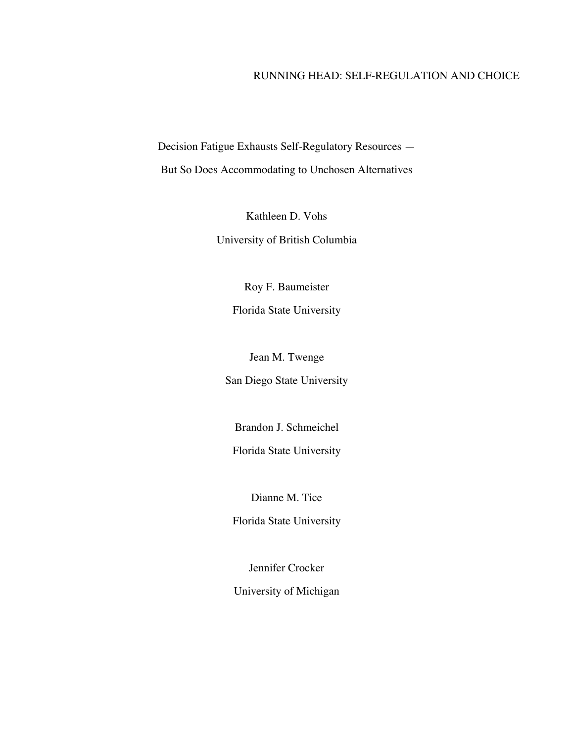# RUNNING HEAD: SELF-REGULATION AND CHOICE

Decision Fatigue Exhausts Self-Regulatory Resources —

But So Does Accommodating to Unchosen Alternatives

Kathleen D. Vohs University of British Columbia

Roy F. Baumeister

Florida State University

Jean M. Twenge

San Diego State University

Brandon J. Schmeichel

Florida State University

Dianne M. Tice

Florida State University

Jennifer Crocker

University of Michigan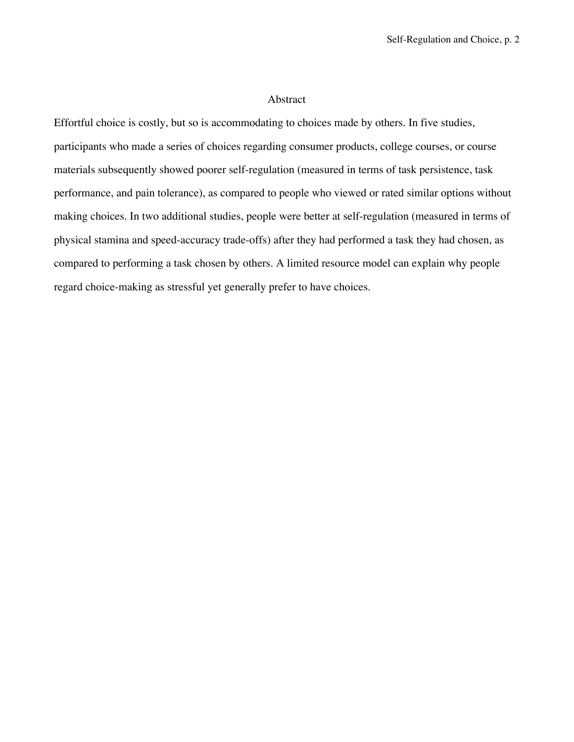### Abstract

Effortful choice is costly, but so is accommodating to choices made by others. In five studies, participants who made a series of choices regarding consumer products, college courses, or course materials subsequently showed poorer self-regulation (measured in terms of task persistence, task performance, and pain tolerance), as compared to people who viewed or rated similar options without making choices. In two additional studies, people were better at self-regulation (measured in terms of physical stamina and speed-accuracy trade-offs) after they had performed a task they had chosen, as compared to performing a task chosen by others. A limited resource model can explain why people regard choice-making as stressful yet generally prefer to have choices.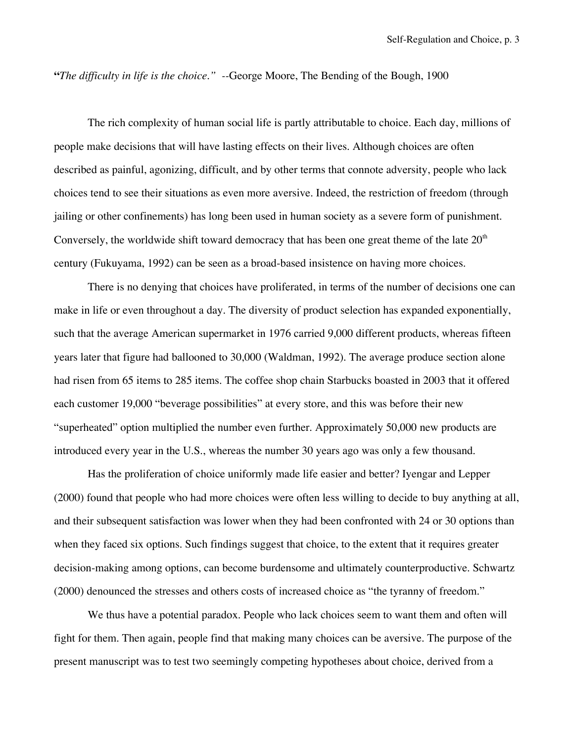**"***The difficulty in life is the choice." --*George Moore, The Bending of the Bough, 1900

The rich complexity of human social life is partly attributable to choice. Each day, millions of people make decisions that will have lasting effects on their lives. Although choices are often described as painful, agonizing, difficult, and by other terms that connote adversity, people who lack choices tend to see their situations as even more aversive. Indeed, the restriction of freedom (through jailing or other confinements) has long been used in human society as a severe form of punishment. Conversely, the worldwide shift toward democracy that has been one great theme of the late  $20<sup>th</sup>$ century (Fukuyama, 1992) can be seen as a broad-based insistence on having more choices.

There is no denying that choices have proliferated, in terms of the number of decisions one can make in life or even throughout a day. The diversity of product selection has expanded exponentially, such that the average American supermarket in 1976 carried 9,000 different products, whereas fifteen years later that figure had ballooned to 30,000 (Waldman, 1992). The average produce section alone had risen from 65 items to 285 items. The coffee shop chain Starbucks boasted in 2003 that it offered each customer 19,000 "beverage possibilities" at every store, and this was before their new "superheated" option multiplied the number even further. Approximately 50,000 new products are introduced every year in the U.S., whereas the number 30 years ago was only a few thousand.

Has the proliferation of choice uniformly made life easier and better? Iyengar and Lepper (2000) found that people who had more choices were often less willing to decide to buy anything at all, and their subsequent satisfaction was lower when they had been confronted with 24 or 30 options than when they faced six options. Such findings suggest that choice, to the extent that it requires greater decision-making among options, can become burdensome and ultimately counterproductive. Schwartz (2000) denounced the stresses and others costs of increased choice as "the tyranny of freedom."

We thus have a potential paradox. People who lack choices seem to want them and often will fight for them. Then again, people find that making many choices can be aversive. The purpose of the present manuscript was to test two seemingly competing hypotheses about choice, derived from a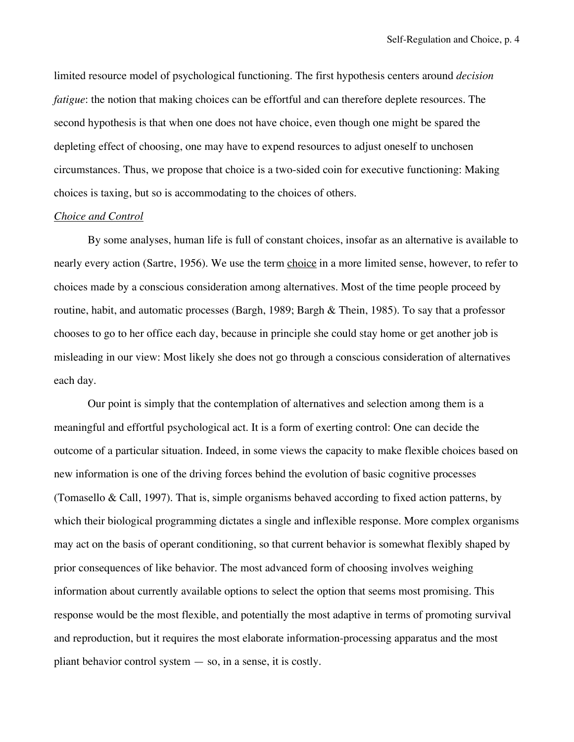limited resource model of psychological functioning. The first hypothesis centers around *decision fatigue*: the notion that making choices can be effortful and can therefore deplete resources. The second hypothesis is that when one does not have choice, even though one might be spared the depleting effect of choosing, one may have to expend resources to adjust oneself to unchosen circumstances. Thus, we propose that choice is a two-sided coin for executive functioning: Making choices is taxing, but so is accommodating to the choices of others.

# *Choice and Control*

By some analyses, human life is full of constant choices, insofar as an alternative is available to nearly every action (Sartre, 1956). We use the term choice in a more limited sense, however, to refer to choices made by a conscious consideration among alternatives. Most of the time people proceed by routine, habit, and automatic processes (Bargh, 1989; Bargh & Thein, 1985). To say that a professor chooses to go to her office each day, because in principle she could stay home or get another job is misleading in our view: Most likely she does not go through a conscious consideration of alternatives each day.

Our point is simply that the contemplation of alternatives and selection among them is a meaningful and effortful psychological act. It is a form of exerting control: One can decide the outcome of a particular situation. Indeed, in some views the capacity to make flexible choices based on new information is one of the driving forces behind the evolution of basic cognitive processes (Tomasello & Call, 1997). That is, simple organisms behaved according to fixed action patterns, by which their biological programming dictates a single and inflexible response. More complex organisms may act on the basis of operant conditioning, so that current behavior is somewhat flexibly shaped by prior consequences of like behavior. The most advanced form of choosing involves weighing information about currently available options to select the option that seems most promising. This response would be the most flexible, and potentially the most adaptive in terms of promoting survival and reproduction, but it requires the most elaborate information-processing apparatus and the most pliant behavior control system — so, in a sense, it is costly.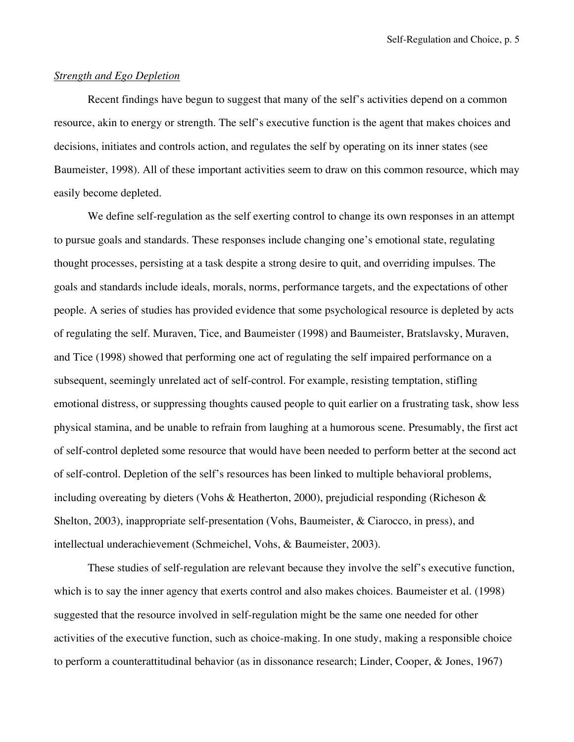#### *Strength and Ego Depletion*

Recent findings have begun to suggest that many of the self's activities depend on a common resource, akin to energy or strength. The self's executive function is the agent that makes choices and decisions, initiates and controls action, and regulates the self by operating on its inner states (see Baumeister, 1998). All of these important activities seem to draw on this common resource, which may easily become depleted.

We define self-regulation as the self exerting control to change its own responses in an attempt to pursue goals and standards. These responses include changing one's emotional state, regulating thought processes, persisting at a task despite a strong desire to quit, and overriding impulses. The goals and standards include ideals, morals, norms, performance targets, and the expectations of other people. A series of studies has provided evidence that some psychological resource is depleted by acts of regulating the self. Muraven, Tice, and Baumeister (1998) and Baumeister, Bratslavsky, Muraven, and Tice (1998) showed that performing one act of regulating the self impaired performance on a subsequent, seemingly unrelated act of self-control. For example, resisting temptation, stifling emotional distress, or suppressing thoughts caused people to quit earlier on a frustrating task, show less physical stamina, and be unable to refrain from laughing at a humorous scene. Presumably, the first act of self-control depleted some resource that would have been needed to perform better at the second act of self-control. Depletion of the self's resources has been linked to multiple behavioral problems, including overeating by dieters (Vohs & Heatherton, 2000), prejudicial responding (Richeson  $\&$ Shelton, 2003), inappropriate self-presentation (Vohs, Baumeister, & Ciarocco, in press), and intellectual underachievement (Schmeichel, Vohs, & Baumeister, 2003).

These studies of self-regulation are relevant because they involve the self's executive function, which is to say the inner agency that exerts control and also makes choices. Baumeister et al. (1998) suggested that the resource involved in self-regulation might be the same one needed for other activities of the executive function, such as choice-making. In one study, making a responsible choice to perform a counterattitudinal behavior (as in dissonance research; Linder, Cooper, & Jones, 1967)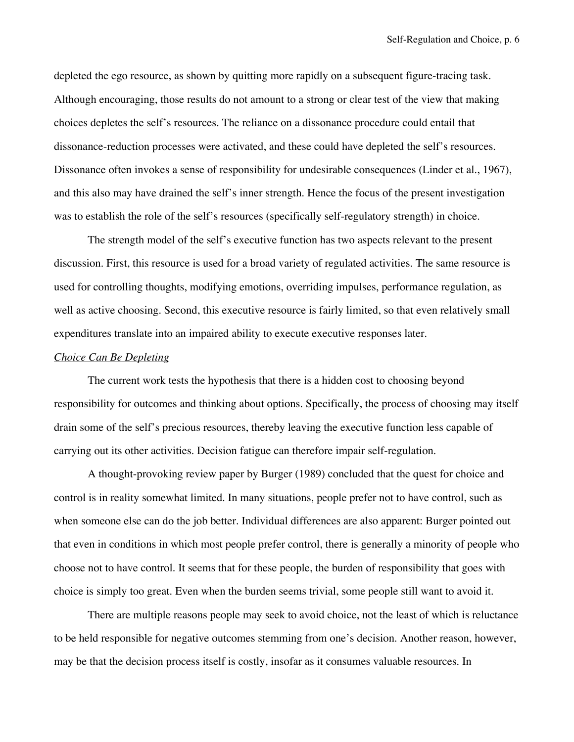depleted the ego resource, as shown by quitting more rapidly on a subsequent figure-tracing task. Although encouraging, those results do not amount to a strong or clear test of the view that making choices depletes the self's resources. The reliance on a dissonance procedure could entail that dissonance-reduction processes were activated, and these could have depleted the self's resources. Dissonance often invokes a sense of responsibility for undesirable consequences (Linder et al., 1967), and this also may have drained the self's inner strength. Hence the focus of the present investigation was to establish the role of the self's resources (specifically self-regulatory strength) in choice.

The strength model of the self's executive function has two aspects relevant to the present discussion. First, this resource is used for a broad variety of regulated activities. The same resource is used for controlling thoughts, modifying emotions, overriding impulses, performance regulation, as well as active choosing. Second, this executive resource is fairly limited, so that even relatively small expenditures translate into an impaired ability to execute executive responses later.

# *Choice Can Be Depleting*

The current work tests the hypothesis that there is a hidden cost to choosing beyond responsibility for outcomes and thinking about options. Specifically, the process of choosing may itself drain some of the self's precious resources, thereby leaving the executive function less capable of carrying out its other activities. Decision fatigue can therefore impair self-regulation.

A thought-provoking review paper by Burger (1989) concluded that the quest for choice and control is in reality somewhat limited. In many situations, people prefer not to have control, such as when someone else can do the job better. Individual differences are also apparent: Burger pointed out that even in conditions in which most people prefer control, there is generally a minority of people who choose not to have control. It seems that for these people, the burden of responsibility that goes with choice is simply too great. Even when the burden seems trivial, some people still want to avoid it.

There are multiple reasons people may seek to avoid choice, not the least of which is reluctance to be held responsible for negative outcomes stemming from one's decision. Another reason, however, may be that the decision process itself is costly, insofar as it consumes valuable resources. In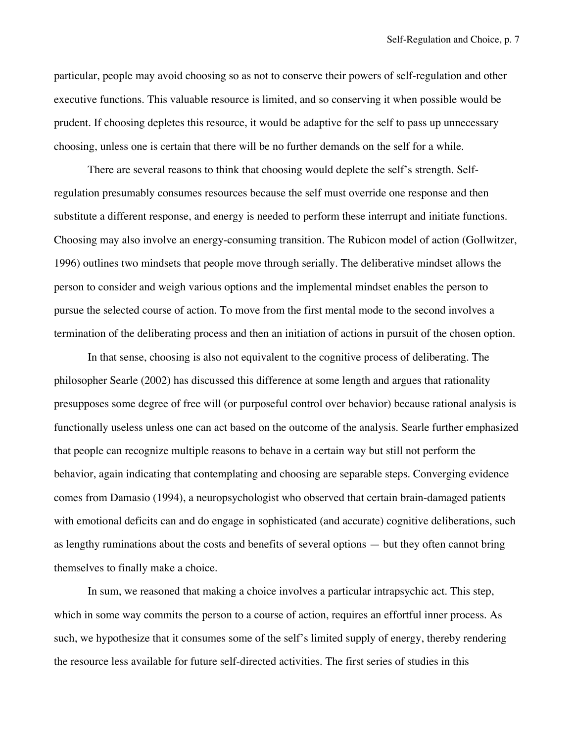particular, people may avoid choosing so as not to conserve their powers of self-regulation and other executive functions. This valuable resource is limited, and so conserving it when possible would be prudent. If choosing depletes this resource, it would be adaptive for the self to pass up unnecessary choosing, unless one is certain that there will be no further demands on the self for a while.

There are several reasons to think that choosing would deplete the self's strength. Selfregulation presumably consumes resources because the self must override one response and then substitute a different response, and energy is needed to perform these interrupt and initiate functions. Choosing may also involve an energy-consuming transition. The Rubicon model of action (Gollwitzer, 1996) outlines two mindsets that people move through serially. The deliberative mindset allows the person to consider and weigh various options and the implemental mindset enables the person to pursue the selected course of action. To move from the first mental mode to the second involves a termination of the deliberating process and then an initiation of actions in pursuit of the chosen option.

In that sense, choosing is also not equivalent to the cognitive process of deliberating. The philosopher Searle (2002) has discussed this difference at some length and argues that rationality presupposes some degree of free will (or purposeful control over behavior) because rational analysis is functionally useless unless one can act based on the outcome of the analysis. Searle further emphasized that people can recognize multiple reasons to behave in a certain way but still not perform the behavior, again indicating that contemplating and choosing are separable steps. Converging evidence comes from Damasio (1994), a neuropsychologist who observed that certain brain-damaged patients with emotional deficits can and do engage in sophisticated (and accurate) cognitive deliberations, such as lengthy ruminations about the costs and benefits of several options — but they often cannot bring themselves to finally make a choice.

In sum, we reasoned that making a choice involves a particular intrapsychic act. This step, which in some way commits the person to a course of action, requires an effortful inner process. As such, we hypothesize that it consumes some of the self's limited supply of energy, thereby rendering the resource less available for future self-directed activities. The first series of studies in this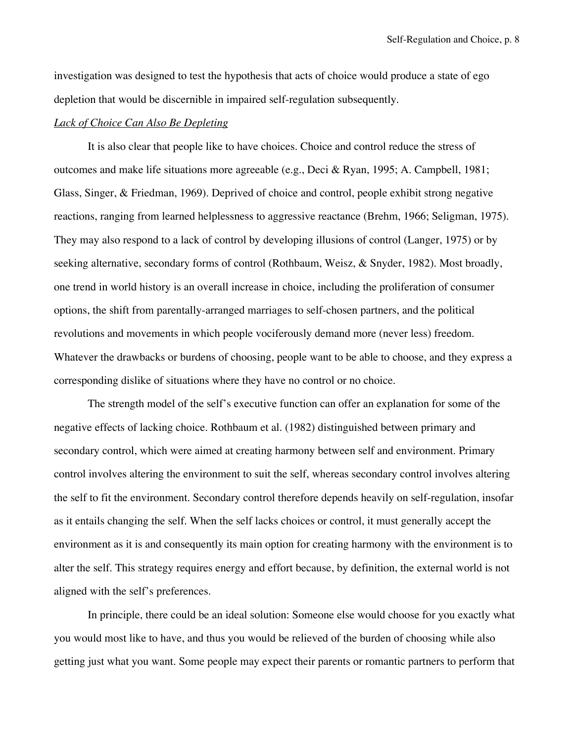investigation was designed to test the hypothesis that acts of choice would produce a state of ego depletion that would be discernible in impaired self-regulation subsequently.

# *Lack of Choice Can Also Be Depleting*

It is also clear that people like to have choices. Choice and control reduce the stress of outcomes and make life situations more agreeable (e.g., Deci & Ryan, 1995; A. Campbell, 1981; Glass, Singer, & Friedman, 1969). Deprived of choice and control, people exhibit strong negative reactions, ranging from learned helplessness to aggressive reactance (Brehm, 1966; Seligman, 1975). They may also respond to a lack of control by developing illusions of control (Langer, 1975) or by seeking alternative, secondary forms of control (Rothbaum, Weisz, & Snyder, 1982). Most broadly, one trend in world history is an overall increase in choice, including the proliferation of consumer options, the shift from parentally-arranged marriages to self-chosen partners, and the political revolutions and movements in which people vociferously demand more (never less) freedom. Whatever the drawbacks or burdens of choosing, people want to be able to choose, and they express a corresponding dislike of situations where they have no control or no choice.

The strength model of the self's executive function can offer an explanation for some of the negative effects of lacking choice. Rothbaum et al. (1982) distinguished between primary and secondary control, which were aimed at creating harmony between self and environment. Primary control involves altering the environment to suit the self, whereas secondary control involves altering the self to fit the environment. Secondary control therefore depends heavily on self-regulation, insofar as it entails changing the self. When the self lacks choices or control, it must generally accept the environment as it is and consequently its main option for creating harmony with the environment is to alter the self. This strategy requires energy and effort because, by definition, the external world is not aligned with the self's preferences.

In principle, there could be an ideal solution: Someone else would choose for you exactly what you would most like to have, and thus you would be relieved of the burden of choosing while also getting just what you want. Some people may expect their parents or romantic partners to perform that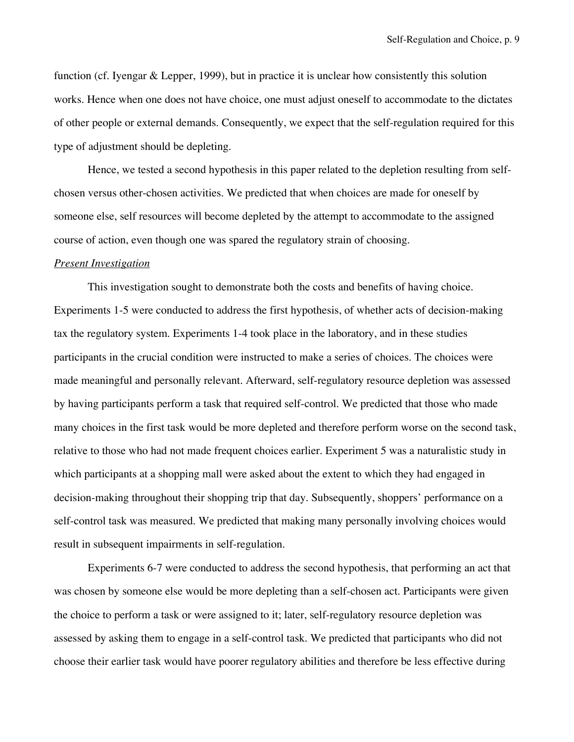function (cf. Iyengar & Lepper, 1999), but in practice it is unclear how consistently this solution works. Hence when one does not have choice, one must adjust oneself to accommodate to the dictates of other people or external demands. Consequently, we expect that the self-regulation required for this type of adjustment should be depleting.

Hence, we tested a second hypothesis in this paper related to the depletion resulting from selfchosen versus other-chosen activities. We predicted that when choices are made for oneself by someone else, self resources will become depleted by the attempt to accommodate to the assigned course of action, even though one was spared the regulatory strain of choosing.

#### *Present Investigation*

This investigation sought to demonstrate both the costs and benefits of having choice. Experiments 1-5 were conducted to address the first hypothesis, of whether acts of decision-making tax the regulatory system. Experiments 1-4 took place in the laboratory, and in these studies participants in the crucial condition were instructed to make a series of choices. The choices were made meaningful and personally relevant. Afterward, self-regulatory resource depletion was assessed by having participants perform a task that required self-control. We predicted that those who made many choices in the first task would be more depleted and therefore perform worse on the second task, relative to those who had not made frequent choices earlier. Experiment 5 was a naturalistic study in which participants at a shopping mall were asked about the extent to which they had engaged in decision-making throughout their shopping trip that day. Subsequently, shoppers' performance on a self-control task was measured. We predicted that making many personally involving choices would result in subsequent impairments in self-regulation.

Experiments 6-7 were conducted to address the second hypothesis, that performing an act that was chosen by someone else would be more depleting than a self-chosen act. Participants were given the choice to perform a task or were assigned to it; later, self-regulatory resource depletion was assessed by asking them to engage in a self-control task. We predicted that participants who did not choose their earlier task would have poorer regulatory abilities and therefore be less effective during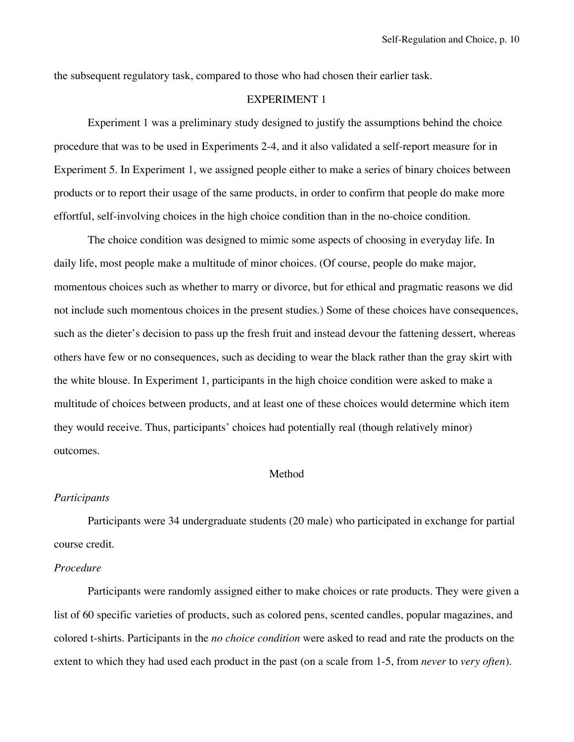the subsequent regulatory task, compared to those who had chosen their earlier task.

# EXPERIMENT 1

Experiment 1 was a preliminary study designed to justify the assumptions behind the choice procedure that was to be used in Experiments 2-4, and it also validated a self-report measure for in Experiment 5. In Experiment 1, we assigned people either to make a series of binary choices between products or to report their usage of the same products, in order to confirm that people do make more effortful, self-involving choices in the high choice condition than in the no-choice condition.

The choice condition was designed to mimic some aspects of choosing in everyday life. In daily life, most people make a multitude of minor choices. (Of course, people do make major, momentous choices such as whether to marry or divorce, but for ethical and pragmatic reasons we did not include such momentous choices in the present studies.) Some of these choices have consequences, such as the dieter's decision to pass up the fresh fruit and instead devour the fattening dessert, whereas others have few or no consequences, such as deciding to wear the black rather than the gray skirt with the white blouse. In Experiment 1, participants in the high choice condition were asked to make a multitude of choices between products, and at least one of these choices would determine which item they would receive. Thus, participants' choices had potentially real (though relatively minor) outcomes.

# Method

### *Participants*

Participants were 34 undergraduate students (20 male) who participated in exchange for partial course credit.

# *Procedure*

Participants were randomly assigned either to make choices or rate products. They were given a list of 60 specific varieties of products, such as colored pens, scented candles, popular magazines, and colored t-shirts. Participants in the *no choice condition* were asked to read and rate the products on the extent to which they had used each product in the past (on a scale from 1-5, from *never* to *very often*).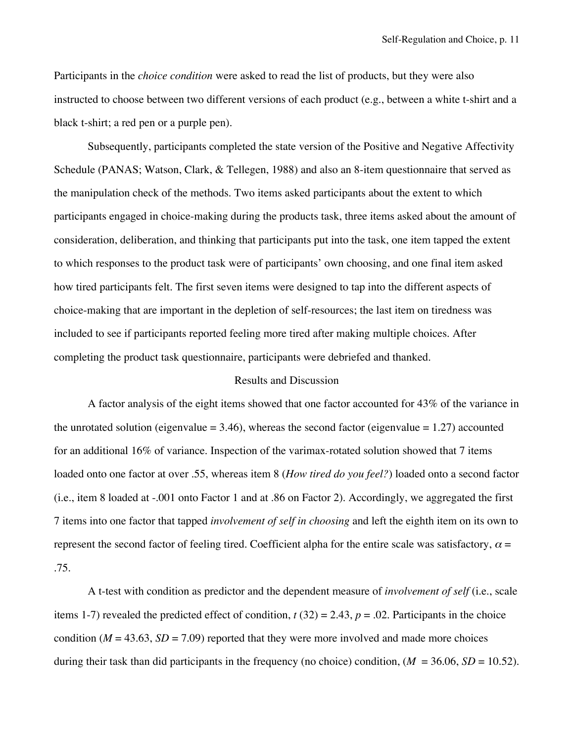Participants in the *choice condition* were asked to read the list of products, but they were also instructed to choose between two different versions of each product (e.g., between a white t-shirt and a black t-shirt; a red pen or a purple pen).

Subsequently, participants completed the state version of the Positive and Negative Affectivity Schedule (PANAS; Watson, Clark, & Tellegen, 1988) and also an 8-item questionnaire that served as the manipulation check of the methods. Two items asked participants about the extent to which participants engaged in choice-making during the products task, three items asked about the amount of consideration, deliberation, and thinking that participants put into the task, one item tapped the extent to which responses to the product task were of participants' own choosing, and one final item asked how tired participants felt. The first seven items were designed to tap into the different aspects of choice-making that are important in the depletion of self-resources; the last item on tiredness was included to see if participants reported feeling more tired after making multiple choices. After completing the product task questionnaire, participants were debriefed and thanked.

# Results and Discussion

A factor analysis of the eight items showed that one factor accounted for 43% of the variance in the unrotated solution (eigenvalue  $= 3.46$ ), whereas the second factor (eigenvalue  $= 1.27$ ) accounted for an additional 16% of variance. Inspection of the varimax-rotated solution showed that 7 items loaded onto one factor at over .55, whereas item 8 (*How tired do you feel?*) loaded onto a second factor (i.e., item 8 loaded at -.001 onto Factor 1 and at .86 on Factor 2). Accordingly, we aggregated the first 7 items into one factor that tapped *involvement of self in choosing* and left the eighth item on its own to represent the second factor of feeling tired. Coefficient alpha for the entire scale was satisfactory,  $\alpha$  = .75.

A t-test with condition as predictor and the dependent measure of *involvement of self* (i.e., scale items 1-7) revealed the predicted effect of condition,  $t(32) = 2.43$ ,  $p = .02$ . Participants in the choice condition ( $M = 43.63$ ,  $SD = 7.09$ ) reported that they were more involved and made more choices during their task than did participants in the frequency (no choice) condition,  $(M = 36.06, SD = 10.52)$ .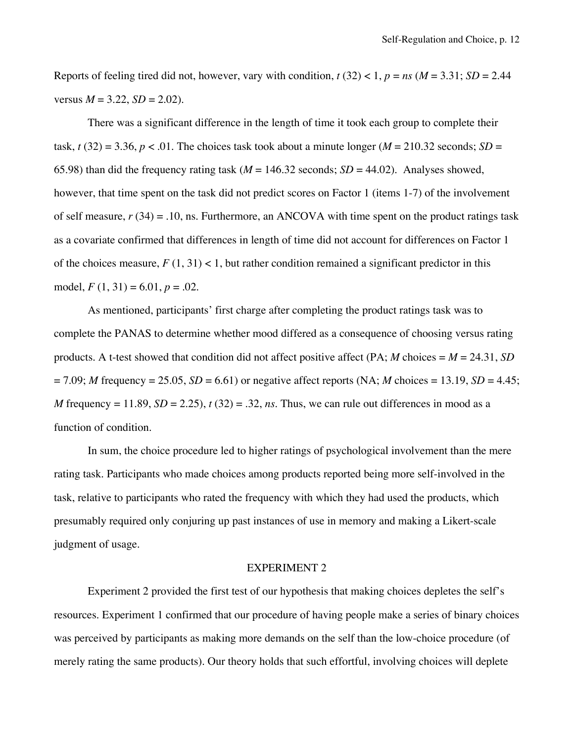Reports of feeling tired did not, however, vary with condition,  $t(32) < 1$ ,  $p = ns$  ( $M = 3.31$ ;  $SD = 2.44$ ) versus  $M = 3.22$ ,  $SD = 2.02$ ).

There was a significant difference in the length of time it took each group to complete their task,  $t(32) = 3.36$ ,  $p < 0.01$ . The choices task took about a minute longer ( $M = 210.32$  seconds;  $SD =$ 65.98) than did the frequency rating task ( $M = 146.32$  seconds;  $SD = 44.02$ ). Analyses showed, however, that time spent on the task did not predict scores on Factor 1 (items 1-7) of the involvement of self measure, *r* (34) = .10, ns. Furthermore, an ANCOVA with time spent on the product ratings task as a covariate confirmed that differences in length of time did not account for differences on Factor 1 of the choices measure,  $F(1, 31) < 1$ , but rather condition remained a significant predictor in this model,  $F(1, 31) = 6.01, p = .02$ .

As mentioned, participants' first charge after completing the product ratings task was to complete the PANAS to determine whether mood differed as a consequence of choosing versus rating products. A t-test showed that condition did not affect positive affect (PA;  $M$  choices =  $M = 24.31$ , *SD*  $= 7.09$ ; *M* frequency  $= 25.05$ , *SD*  $= 6.61$ ) or negative affect reports (NA; *M* choices  $= 13.19$ , *SD*  $= 4.45$ ; *M* frequency = 11.89, *SD* = 2.25),  $t(32) = .32$ , *ns*. Thus, we can rule out differences in mood as a function of condition.

In sum, the choice procedure led to higher ratings of psychological involvement than the mere rating task. Participants who made choices among products reported being more self-involved in the task, relative to participants who rated the frequency with which they had used the products, which presumably required only conjuring up past instances of use in memory and making a Likert-scale judgment of usage.

# EXPERIMENT 2

Experiment 2 provided the first test of our hypothesis that making choices depletes the self's resources. Experiment 1 confirmed that our procedure of having people make a series of binary choices was perceived by participants as making more demands on the self than the low-choice procedure (of merely rating the same products). Our theory holds that such effortful, involving choices will deplete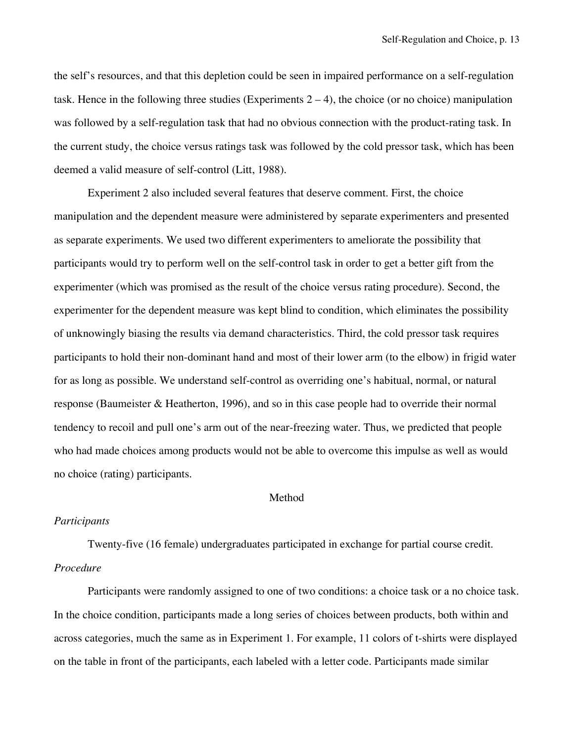the self's resources, and that this depletion could be seen in impaired performance on a self-regulation task. Hence in the following three studies (Experiments  $2 - 4$ ), the choice (or no choice) manipulation was followed by a self-regulation task that had no obvious connection with the product-rating task. In the current study, the choice versus ratings task was followed by the cold pressor task, which has been deemed a valid measure of self-control (Litt, 1988).

Experiment 2 also included several features that deserve comment. First, the choice manipulation and the dependent measure were administered by separate experimenters and presented as separate experiments. We used two different experimenters to ameliorate the possibility that participants would try to perform well on the self-control task in order to get a better gift from the experimenter (which was promised as the result of the choice versus rating procedure). Second, the experimenter for the dependent measure was kept blind to condition, which eliminates the possibility of unknowingly biasing the results via demand characteristics. Third, the cold pressor task requires participants to hold their non-dominant hand and most of their lower arm (to the elbow) in frigid water for as long as possible. We understand self-control as overriding one's habitual, normal, or natural response (Baumeister & Heatherton, 1996), and so in this case people had to override their normal tendency to recoil and pull one's arm out of the near-freezing water. Thus, we predicted that people who had made choices among products would not be able to overcome this impulse as well as would no choice (rating) participants.

# **Method**

# *Participants*

Twenty-five (16 female) undergraduates participated in exchange for partial course credit. *Procedure*

Participants were randomly assigned to one of two conditions: a choice task or a no choice task. In the choice condition, participants made a long series of choices between products, both within and across categories, much the same as in Experiment 1. For example, 11 colors of t-shirts were displayed on the table in front of the participants, each labeled with a letter code. Participants made similar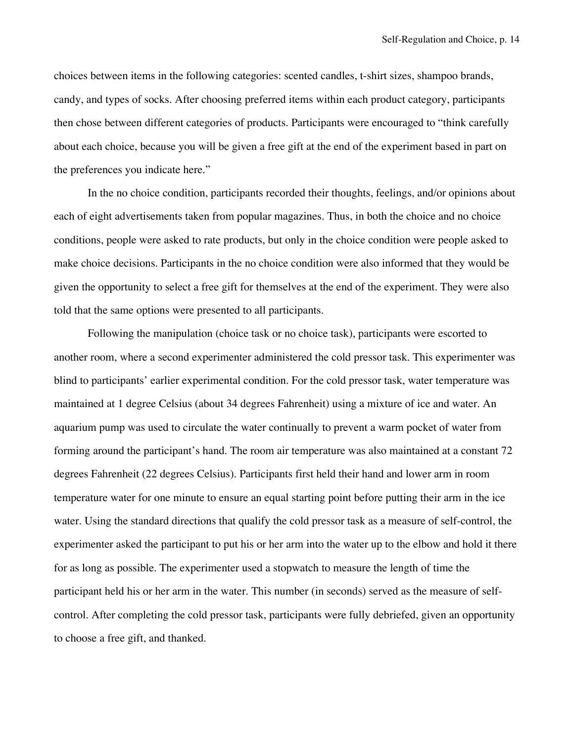choices between items in the following categories: scented candles, t-shirt sizes, shampoo brands, candy, and types of socks. After choosing preferred items within each product category, participants then chose between different categories of products. Participants were encouraged to "think carefully about each choice, because you will be given a free gift at the end of the experiment based in part on the preferences you indicate here."

In the no choice condition, participants recorded their thoughts, feelings, and/or opinions about each of eight advertisements taken from popular magazines. Thus, in both the choice and no choice conditions, people were asked to rate products, but only in the choice condition were people asked to make choice decisions. Participants in the no choice condition were also informed that they would be given the opportunity to select a free gift for themselves at the end of the experiment. They were also told that the same options were presented to all participants.

Following the manipulation (choice task or no choice task), participants were escorted to another room, where a second experimenter administered the cold pressor task. This experimenter was blind to participants' earlier experimental condition. For the cold pressor task, water temperature was maintained at 1 degree Celsius (about 34 degrees Fahrenheit) using a mixture of ice and water. An aquarium pump was used to circulate the water continually to prevent a warm pocket of water from forming around the participant's hand. The room air temperature was also maintained at a constant 72 degrees Fahrenheit (22 degrees Celsius). Participants first held their hand and lower arm in room temperature water for one minute to ensure an equal starting point before putting their arm in the ice water. Using the standard directions that qualify the cold pressor task as a measure of self-control, the experimenter asked the participant to put his or her arm into the water up to the elbow and hold it there for as long as possible. The experimenter used a stopwatch to measure the length of time the participant held his or her arm in the water. This number (in seconds) served as the measure of selfcontrol. After completing the cold pressor task, participants were fully debriefed, given an opportunity to choose a free gift, and thanked.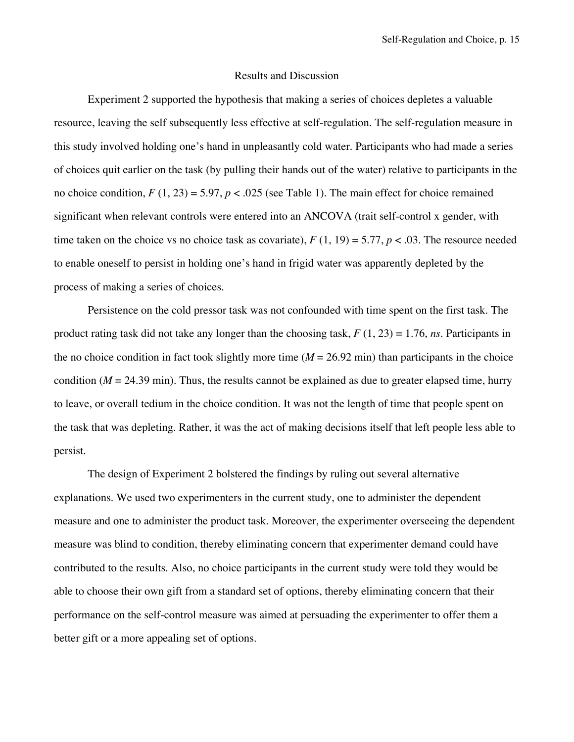### Results and Discussion

Experiment 2 supported the hypothesis that making a series of choices depletes a valuable resource, leaving the self subsequently less effective at self-regulation. The self-regulation measure in this study involved holding one's hand in unpleasantly cold water. Participants who had made a series of choices quit earlier on the task (by pulling their hands out of the water) relative to participants in the no choice condition,  $F(1, 23) = 5.97$ ,  $p < .025$  (see Table 1). The main effect for choice remained significant when relevant controls were entered into an ANCOVA (trait self-control x gender, with time taken on the choice vs no choice task as covariate),  $F(1, 19) = 5.77$ ,  $p < .03$ . The resource needed to enable oneself to persist in holding one's hand in frigid water was apparently depleted by the process of making a series of choices.

Persistence on the cold pressor task was not confounded with time spent on the first task. The product rating task did not take any longer than the choosing task, *F* (1, 23) = 1.76, *ns*. Participants in the no choice condition in fact took slightly more time  $(M = 26.92 \text{ min})$  than participants in the choice condition  $(M = 24.39 \text{ min})$ . Thus, the results cannot be explained as due to greater elapsed time, hurry to leave, or overall tedium in the choice condition. It was not the length of time that people spent on the task that was depleting. Rather, it was the act of making decisions itself that left people less able to persist.

The design of Experiment 2 bolstered the findings by ruling out several alternative explanations. We used two experimenters in the current study, one to administer the dependent measure and one to administer the product task. Moreover, the experimenter overseeing the dependent measure was blind to condition, thereby eliminating concern that experimenter demand could have contributed to the results. Also, no choice participants in the current study were told they would be able to choose their own gift from a standard set of options, thereby eliminating concern that their performance on the self-control measure was aimed at persuading the experimenter to offer them a better gift or a more appealing set of options.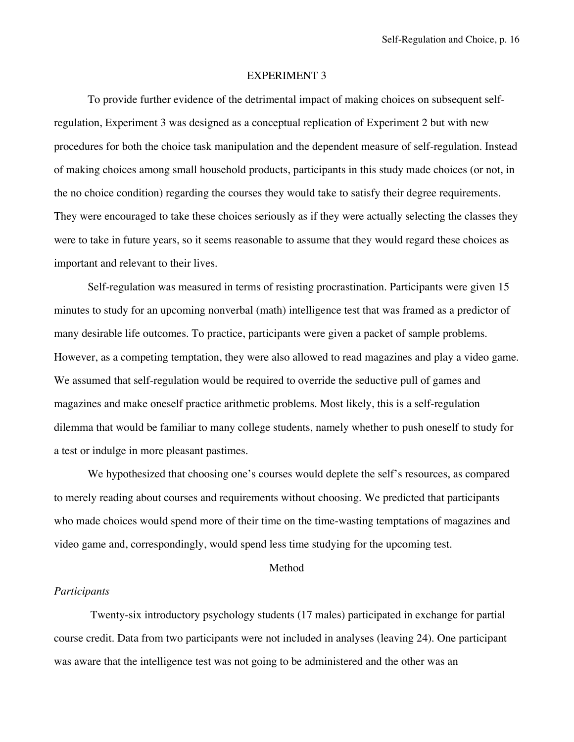#### EXPERIMENT 3

To provide further evidence of the detrimental impact of making choices on subsequent selfregulation, Experiment 3 was designed as a conceptual replication of Experiment 2 but with new procedures for both the choice task manipulation and the dependent measure of self-regulation. Instead of making choices among small household products, participants in this study made choices (or not, in the no choice condition) regarding the courses they would take to satisfy their degree requirements. They were encouraged to take these choices seriously as if they were actually selecting the classes they were to take in future years, so it seems reasonable to assume that they would regard these choices as important and relevant to their lives.

Self-regulation was measured in terms of resisting procrastination. Participants were given 15 minutes to study for an upcoming nonverbal (math) intelligence test that was framed as a predictor of many desirable life outcomes. To practice, participants were given a packet of sample problems. However, as a competing temptation, they were also allowed to read magazines and play a video game. We assumed that self-regulation would be required to override the seductive pull of games and magazines and make oneself practice arithmetic problems. Most likely, this is a self-regulation dilemma that would be familiar to many college students, namely whether to push oneself to study for a test or indulge in more pleasant pastimes.

We hypothesized that choosing one's courses would deplete the self's resources, as compared to merely reading about courses and requirements without choosing. We predicted that participants who made choices would spend more of their time on the time-wasting temptations of magazines and video game and, correspondingly, would spend less time studying for the upcoming test.

#### Method

### *Participants*

 Twenty-six introductory psychology students (17 males) participated in exchange for partial course credit. Data from two participants were not included in analyses (leaving 24). One participant was aware that the intelligence test was not going to be administered and the other was an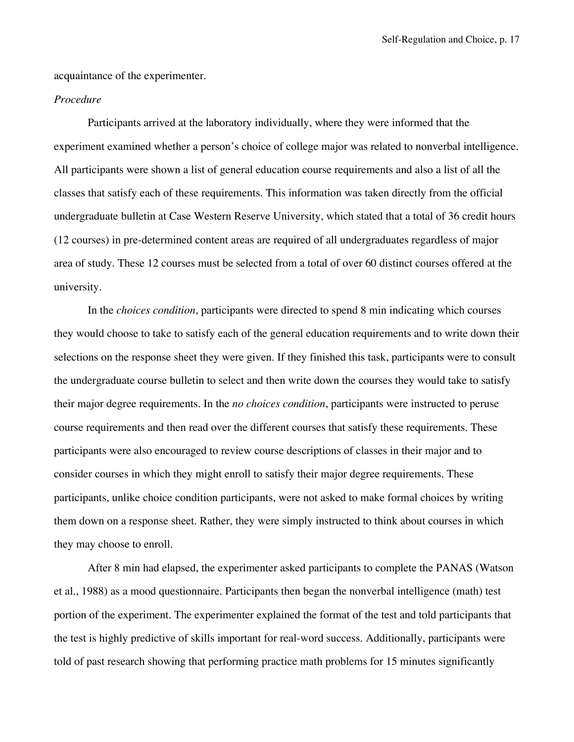acquaintance of the experimenter.

# *Procedure*

Participants arrived at the laboratory individually, where they were informed that the experiment examined whether a person's choice of college major was related to nonverbal intelligence. All participants were shown a list of general education course requirements and also a list of all the classes that satisfy each of these requirements. This information was taken directly from the official undergraduate bulletin at Case Western Reserve University, which stated that a total of 36 credit hours (12 courses) in pre-determined content areas are required of all undergraduates regardless of major area of study. These 12 courses must be selected from a total of over 60 distinct courses offered at the university.

In the *choices condition*, participants were directed to spend 8 min indicating which courses they would choose to take to satisfy each of the general education requirements and to write down their selections on the response sheet they were given. If they finished this task, participants were to consult the undergraduate course bulletin to select and then write down the courses they would take to satisfy their major degree requirements. In the *no choices condition*, participants were instructed to peruse course requirements and then read over the different courses that satisfy these requirements. These participants were also encouraged to review course descriptions of classes in their major and to consider courses in which they might enroll to satisfy their major degree requirements. These participants, unlike choice condition participants, were not asked to make formal choices by writing them down on a response sheet. Rather, they were simply instructed to think about courses in which they may choose to enroll.

After 8 min had elapsed, the experimenter asked participants to complete the PANAS (Watson et al., 1988) as a mood questionnaire. Participants then began the nonverbal intelligence (math) test portion of the experiment. The experimenter explained the format of the test and told participants that the test is highly predictive of skills important for real-word success. Additionally, participants were told of past research showing that performing practice math problems for 15 minutes significantly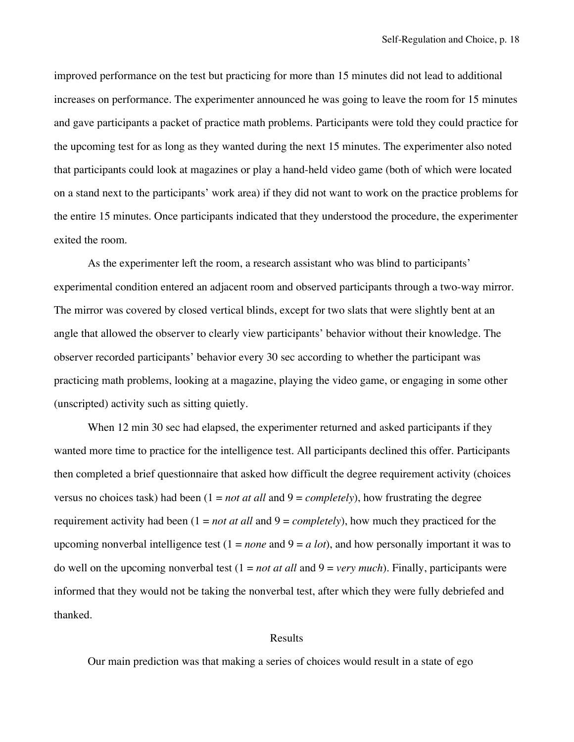improved performance on the test but practicing for more than 15 minutes did not lead to additional increases on performance. The experimenter announced he was going to leave the room for 15 minutes and gave participants a packet of practice math problems. Participants were told they could practice for the upcoming test for as long as they wanted during the next 15 minutes. The experimenter also noted that participants could look at magazines or play a hand-held video game (both of which were located on a stand next to the participants' work area) if they did not want to work on the practice problems for the entire 15 minutes. Once participants indicated that they understood the procedure, the experimenter exited the room.

As the experimenter left the room, a research assistant who was blind to participants' experimental condition entered an adjacent room and observed participants through a two-way mirror. The mirror was covered by closed vertical blinds, except for two slats that were slightly bent at an angle that allowed the observer to clearly view participants' behavior without their knowledge. The observer recorded participants' behavior every 30 sec according to whether the participant was practicing math problems, looking at a magazine, playing the video game, or engaging in some other (unscripted) activity such as sitting quietly.

When 12 min 30 sec had elapsed, the experimenter returned and asked participants if they wanted more time to practice for the intelligence test. All participants declined this offer. Participants then completed a brief questionnaire that asked how difficult the degree requirement activity (choices versus no choices task) had been  $(1 = not at all and 9 = completely)$ , how frustrating the degree requirement activity had been (1 = *not at all* and 9 = *completely*), how much they practiced for the upcoming nonverbal intelligence test (1 = *none* and 9 = *a lot*), and how personally important it was to do well on the upcoming nonverbal test (1 = *not at all* and 9 = *very much*). Finally, participants were informed that they would not be taking the nonverbal test, after which they were fully debriefed and thanked.

#### Results

Our main prediction was that making a series of choices would result in a state of ego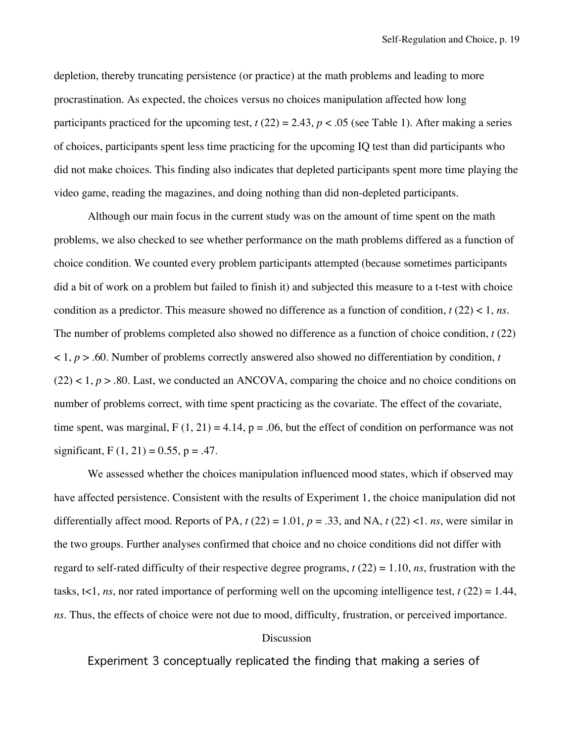depletion, thereby truncating persistence (or practice) at the math problems and leading to more procrastination. As expected, the choices versus no choices manipulation affected how long participants practiced for the upcoming test,  $t(22) = 2.43$ ,  $p < .05$  (see Table 1). After making a series of choices, participants spent less time practicing for the upcoming IQ test than did participants who did not make choices. This finding also indicates that depleted participants spent more time playing the video game, reading the magazines, and doing nothing than did non-depleted participants.

Although our main focus in the current study was on the amount of time spent on the math problems, we also checked to see whether performance on the math problems differed as a function of choice condition. We counted every problem participants attempted (because sometimes participants did a bit of work on a problem but failed to finish it) and subjected this measure to a t-test with choice condition as a predictor. This measure showed no difference as a function of condition, *t* (22) < 1, *ns*. The number of problems completed also showed no difference as a function of choice condition, *t* (22)  $(1, p)$  - .60. Number of problems correctly answered also showed no differentiation by condition, *t*  $(22)$  < 1,  $p > .80$ . Last, we conducted an ANCOVA, comparing the choice and no choice conditions on number of problems correct, with time spent practicing as the covariate. The effect of the covariate, time spent, was marginal,  $F(1, 21) = 4.14$ ,  $p = .06$ , but the effect of condition on performance was not significant,  $F(1, 21) = 0.55$ ,  $p = .47$ .

We assessed whether the choices manipulation influenced mood states, which if observed may have affected persistence. Consistent with the results of Experiment 1, the choice manipulation did not differentially affect mood. Reports of PA,  $t(22) = 1.01$ ,  $p = .33$ , and NA,  $t(22) < 1$ . *ns*, were similar in the two groups. Further analyses confirmed that choice and no choice conditions did not differ with regard to self-rated difficulty of their respective degree programs, *t* (22) = 1.10, *ns*, frustration with the tasks,  $t<1$ , *ns*, nor rated importance of performing well on the upcoming intelligence test, *t* (22) = 1.44, *ns*. Thus, the effects of choice were not due to mood, difficulty, frustration, or perceived importance.

#### **Discussion**

Experiment 3 conceptually replicated the finding that making a series of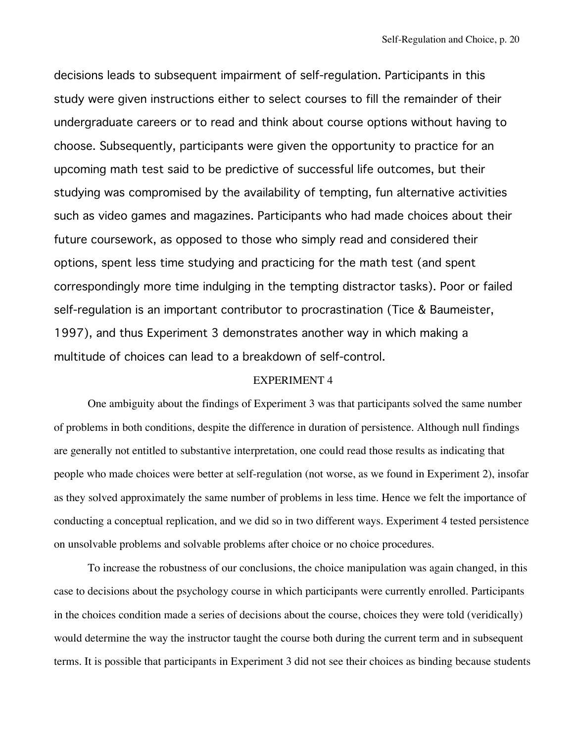decisions leads to subsequent impairment of self-regulation. Participants in this study were given instructions either to select courses to fill the remainder of their undergraduate careers or to read and think about course options without having to choose. Subsequently, participants were given the opportunity to practice for an upcoming math test said to be predictive of successful life outcomes, but their studying was compromised by the availability of tempting, fun alternative activities such as video games and magazines. Participants who had made choices about their future coursework, as opposed to those who simply read and considered their options, spent less time studying and practicing for the math test (and spent correspondingly more time indulging in the tempting distractor tasks). Poor or failed self-regulation is an important contributor to procrastination (Tice & Baumeister, 1997), and thus Experiment 3 demonstrates another way in which making a multitude of choices can lead to a breakdown of self-control.

# EXPERIMENT 4

One ambiguity about the findings of Experiment 3 was that participants solved the same number of problems in both conditions, despite the difference in duration of persistence. Although null findings are generally not entitled to substantive interpretation, one could read those results as indicating that people who made choices were better at self-regulation (not worse, as we found in Experiment 2), insofar as they solved approximately the same number of problems in less time. Hence we felt the importance of conducting a conceptual replication, and we did so in two different ways. Experiment 4 tested persistence on unsolvable problems and solvable problems after choice or no choice procedures.

To increase the robustness of our conclusions, the choice manipulation was again changed, in this case to decisions about the psychology course in which participants were currently enrolled. Participants in the choices condition made a series of decisions about the course, choices they were told (veridically) would determine the way the instructor taught the course both during the current term and in subsequent terms. It is possible that participants in Experiment 3 did not see their choices as binding because students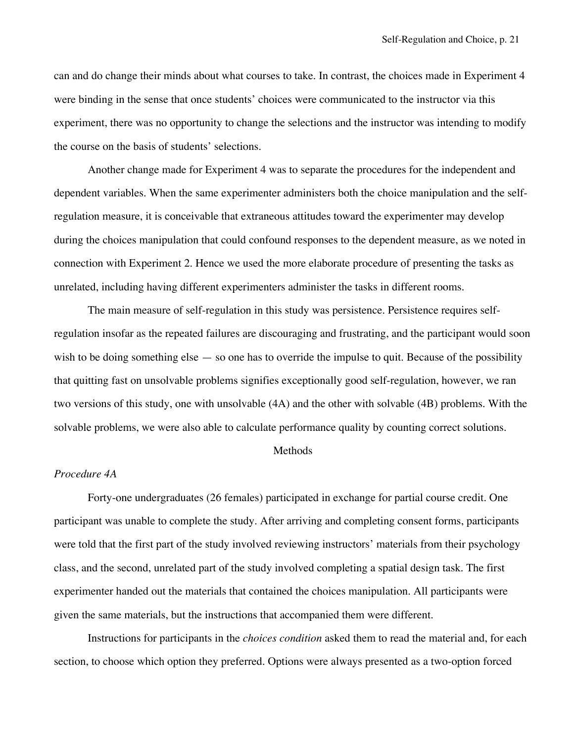can and do change their minds about what courses to take. In contrast, the choices made in Experiment 4 were binding in the sense that once students' choices were communicated to the instructor via this experiment, there was no opportunity to change the selections and the instructor was intending to modify the course on the basis of students' selections.

Another change made for Experiment 4 was to separate the procedures for the independent and dependent variables. When the same experimenter administers both the choice manipulation and the selfregulation measure, it is conceivable that extraneous attitudes toward the experimenter may develop during the choices manipulation that could confound responses to the dependent measure, as we noted in connection with Experiment 2. Hence we used the more elaborate procedure of presenting the tasks as unrelated, including having different experimenters administer the tasks in different rooms.

The main measure of self-regulation in this study was persistence. Persistence requires selfregulation insofar as the repeated failures are discouraging and frustrating, and the participant would soon wish to be doing something else — so one has to override the impulse to quit. Because of the possibility that quitting fast on unsolvable problems signifies exceptionally good self-regulation, however, we ran two versions of this study, one with unsolvable (4A) and the other with solvable (4B) problems. With the solvable problems, we were also able to calculate performance quality by counting correct solutions.

### Methods

# *Procedure 4A*

Forty-one undergraduates (26 females) participated in exchange for partial course credit. One participant was unable to complete the study. After arriving and completing consent forms, participants were told that the first part of the study involved reviewing instructors' materials from their psychology class, and the second, unrelated part of the study involved completing a spatial design task. The first experimenter handed out the materials that contained the choices manipulation. All participants were given the same materials, but the instructions that accompanied them were different.

Instructions for participants in the *choices condition* asked them to read the material and, for each section, to choose which option they preferred. Options were always presented as a two-option forced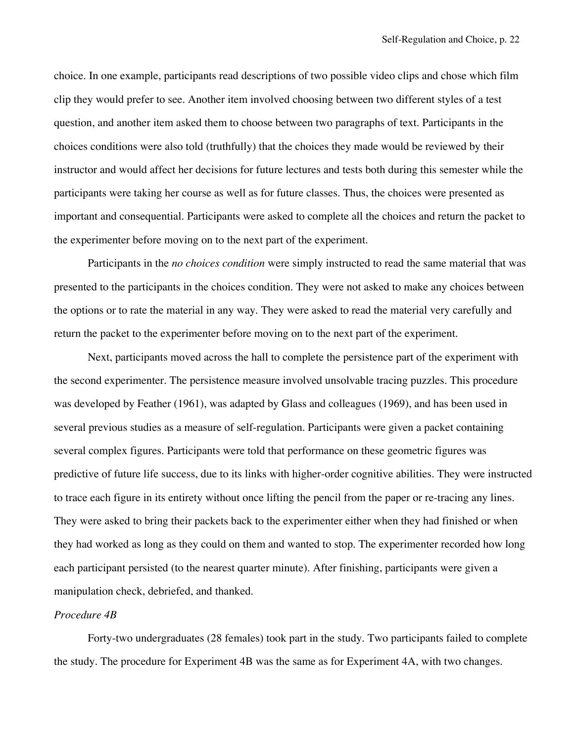choice. In one example, participants read descriptions of two possible video clips and chose which film clip they would prefer to see. Another item involved choosing between two different styles of a test question, and another item asked them to choose between two paragraphs of text. Participants in the choices conditions were also told (truthfully) that the choices they made would be reviewed by their instructor and would affect her decisions for future lectures and tests both during this semester while the participants were taking her course as well as for future classes. Thus, the choices were presented as important and consequential. Participants were asked to complete all the choices and return the packet to the experimenter before moving on to the next part of the experiment.

Participants in the *no choices condition* were simply instructed to read the same material that was presented to the participants in the choices condition. They were not asked to make any choices between the options or to rate the material in any way. They were asked to read the material very carefully and return the packet to the experimenter before moving on to the next part of the experiment.

Next, participants moved across the hall to complete the persistence part of the experiment with the second experimenter. The persistence measure involved unsolvable tracing puzzles. This procedure was developed by Feather (1961), was adapted by Glass and colleagues (1969), and has been used in several previous studies as a measure of self-regulation. Participants were given a packet containing several complex figures. Participants were told that performance on these geometric figures was predictive of future life success, due to its links with higher-order cognitive abilities. They were instructed to trace each figure in its entirety without once lifting the pencil from the paper or re-tracing any lines. They were asked to bring their packets back to the experimenter either when they had finished or when they had worked as long as they could on them and wanted to stop. The experimenter recorded how long each participant persisted (to the nearest quarter minute). After finishing, participants were given a manipulation check, debriefed, and thanked.

# *Procedure 4B*

Forty-two undergraduates (28 females) took part in the study. Two participants failed to complete the study. The procedure for Experiment 4B was the same as for Experiment 4A, with two changes.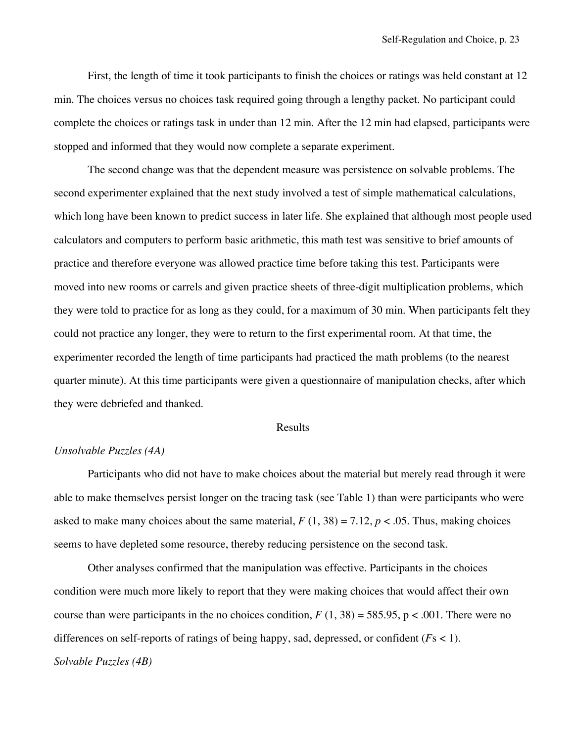First, the length of time it took participants to finish the choices or ratings was held constant at 12 min. The choices versus no choices task required going through a lengthy packet. No participant could complete the choices or ratings task in under than 12 min. After the 12 min had elapsed, participants were stopped and informed that they would now complete a separate experiment.

The second change was that the dependent measure was persistence on solvable problems. The second experimenter explained that the next study involved a test of simple mathematical calculations, which long have been known to predict success in later life. She explained that although most people used calculators and computers to perform basic arithmetic, this math test was sensitive to brief amounts of practice and therefore everyone was allowed practice time before taking this test. Participants were moved into new rooms or carrels and given practice sheets of three-digit multiplication problems, which they were told to practice for as long as they could, for a maximum of 30 min. When participants felt they could not practice any longer, they were to return to the first experimental room. At that time, the experimenter recorded the length of time participants had practiced the math problems (to the nearest quarter minute). At this time participants were given a questionnaire of manipulation checks, after which they were debriefed and thanked.

# Results

# *Unsolvable Puzzles (4A)*

Participants who did not have to make choices about the material but merely read through it were able to make themselves persist longer on the tracing task (see Table 1) than were participants who were asked to make many choices about the same material,  $F(1, 38) = 7.12$ ,  $p < .05$ . Thus, making choices seems to have depleted some resource, thereby reducing persistence on the second task.

Other analyses confirmed that the manipulation was effective. Participants in the choices condition were much more likely to report that they were making choices that would affect their own course than were participants in the no choices condition,  $F(1, 38) = 585.95$ , p < .001. There were no differences on self-reports of ratings of being happy, sad, depressed, or confident (*F*s < 1). *Solvable Puzzles (4B)*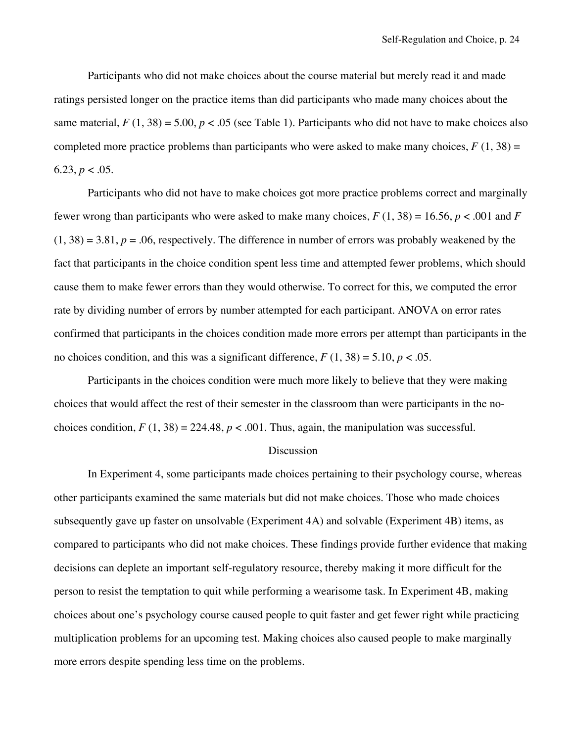Participants who did not make choices about the course material but merely read it and made ratings persisted longer on the practice items than did participants who made many choices about the same material,  $F(1, 38) = 5.00$ ,  $p < .05$  (see Table 1). Participants who did not have to make choices also completed more practice problems than participants who were asked to make many choices,  $F(1, 38) =$ 6.23,  $p < .05$ .

Participants who did not have to make choices got more practice problems correct and marginally fewer wrong than participants who were asked to make many choices,  $F(1, 38) = 16.56$ ,  $p < .001$  and  $F($  $(1, 38) = 3.81$ ,  $p = .06$ , respectively. The difference in number of errors was probably weakened by the fact that participants in the choice condition spent less time and attempted fewer problems, which should cause them to make fewer errors than they would otherwise. To correct for this, we computed the error rate by dividing number of errors by number attempted for each participant. ANOVA on error rates confirmed that participants in the choices condition made more errors per attempt than participants in the no choices condition, and this was a significant difference,  $F(1, 38) = 5.10, p < .05$ .

Participants in the choices condition were much more likely to believe that they were making choices that would affect the rest of their semester in the classroom than were participants in the nochoices condition,  $F(1, 38) = 224.48$ ,  $p < .001$ . Thus, again, the manipulation was successful.

### Discussion

In Experiment 4, some participants made choices pertaining to their psychology course, whereas other participants examined the same materials but did not make choices. Those who made choices subsequently gave up faster on unsolvable (Experiment 4A) and solvable (Experiment 4B) items, as compared to participants who did not make choices. These findings provide further evidence that making decisions can deplete an important self-regulatory resource, thereby making it more difficult for the person to resist the temptation to quit while performing a wearisome task. In Experiment 4B, making choices about one's psychology course caused people to quit faster and get fewer right while practicing multiplication problems for an upcoming test. Making choices also caused people to make marginally more errors despite spending less time on the problems.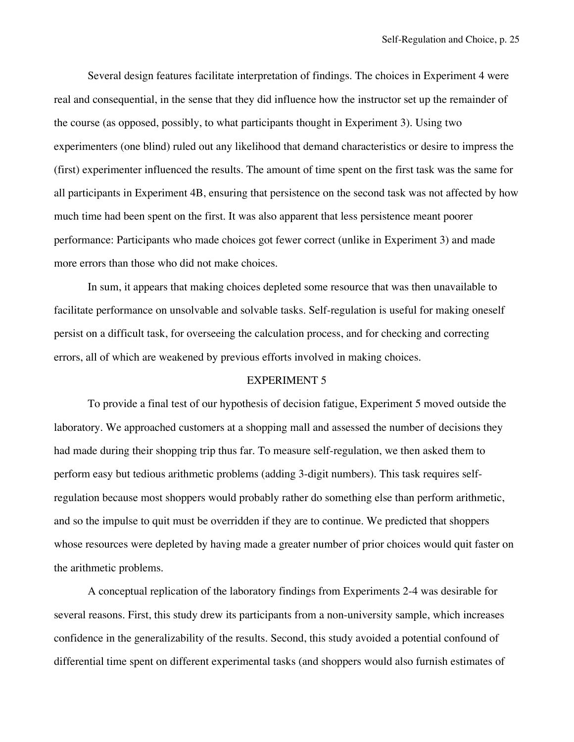Several design features facilitate interpretation of findings. The choices in Experiment 4 were real and consequential, in the sense that they did influence how the instructor set up the remainder of the course (as opposed, possibly, to what participants thought in Experiment 3). Using two experimenters (one blind) ruled out any likelihood that demand characteristics or desire to impress the (first) experimenter influenced the results. The amount of time spent on the first task was the same for all participants in Experiment 4B, ensuring that persistence on the second task was not affected by how much time had been spent on the first. It was also apparent that less persistence meant poorer performance: Participants who made choices got fewer correct (unlike in Experiment 3) and made more errors than those who did not make choices.

In sum, it appears that making choices depleted some resource that was then unavailable to facilitate performance on unsolvable and solvable tasks. Self-regulation is useful for making oneself persist on a difficult task, for overseeing the calculation process, and for checking and correcting errors, all of which are weakened by previous efforts involved in making choices.

# EXPERIMENT 5

To provide a final test of our hypothesis of decision fatigue, Experiment 5 moved outside the laboratory. We approached customers at a shopping mall and assessed the number of decisions they had made during their shopping trip thus far. To measure self-regulation, we then asked them to perform easy but tedious arithmetic problems (adding 3-digit numbers). This task requires selfregulation because most shoppers would probably rather do something else than perform arithmetic, and so the impulse to quit must be overridden if they are to continue. We predicted that shoppers whose resources were depleted by having made a greater number of prior choices would quit faster on the arithmetic problems.

A conceptual replication of the laboratory findings from Experiments 2-4 was desirable for several reasons. First, this study drew its participants from a non-university sample, which increases confidence in the generalizability of the results. Second, this study avoided a potential confound of differential time spent on different experimental tasks (and shoppers would also furnish estimates of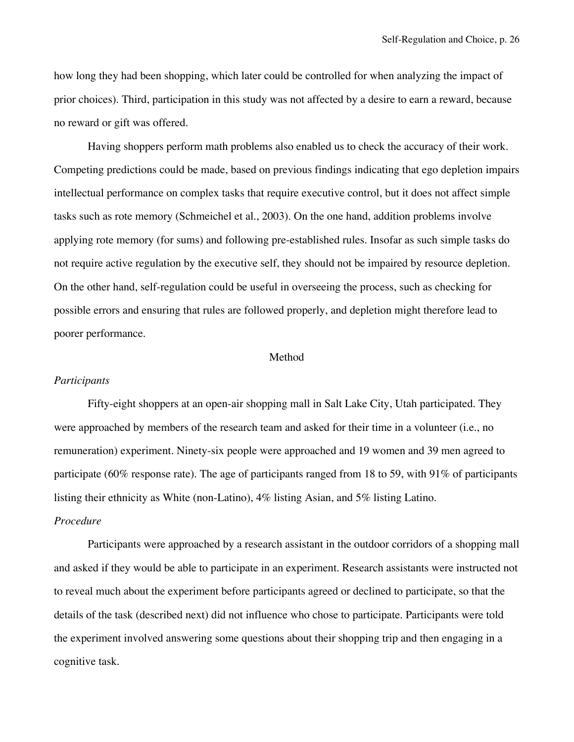how long they had been shopping, which later could be controlled for when analyzing the impact of prior choices). Third, participation in this study was not affected by a desire to earn a reward, because no reward or gift was offered.

Having shoppers perform math problems also enabled us to check the accuracy of their work. Competing predictions could be made, based on previous findings indicating that ego depletion impairs intellectual performance on complex tasks that require executive control, but it does not affect simple tasks such as rote memory (Schmeichel et al., 2003). On the one hand, addition problems involve applying rote memory (for sums) and following pre-established rules. Insofar as such simple tasks do not require active regulation by the executive self, they should not be impaired by resource depletion. On the other hand, self-regulation could be useful in overseeing the process, such as checking for possible errors and ensuring that rules are followed properly, and depletion might therefore lead to poorer performance.

# Method

# *Participants*

Fifty-eight shoppers at an open-air shopping mall in Salt Lake City, Utah participated. They were approached by members of the research team and asked for their time in a volunteer (i.e., no remuneration) experiment. Ninety-six people were approached and 19 women and 39 men agreed to participate (60% response rate). The age of participants ranged from 18 to 59, with 91% of participants listing their ethnicity as White (non-Latino), 4% listing Asian, and 5% listing Latino.

# *Procedure*

Participants were approached by a research assistant in the outdoor corridors of a shopping mall and asked if they would be able to participate in an experiment. Research assistants were instructed not to reveal much about the experiment before participants agreed or declined to participate, so that the details of the task (described next) did not influence who chose to participate. Participants were told the experiment involved answering some questions about their shopping trip and then engaging in a cognitive task.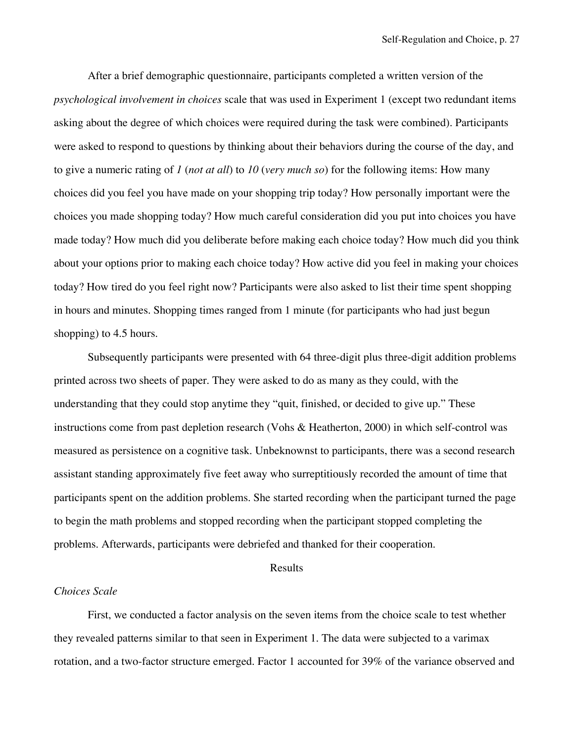After a brief demographic questionnaire, participants completed a written version of the *psychological involvement in choices* scale that was used in Experiment 1 (except two redundant items asking about the degree of which choices were required during the task were combined). Participants were asked to respond to questions by thinking about their behaviors during the course of the day, and to give a numeric rating of *1* (*not at all*) to *10* (*very much so*) for the following items: How many choices did you feel you have made on your shopping trip today? How personally important were the choices you made shopping today? How much careful consideration did you put into choices you have made today? How much did you deliberate before making each choice today? How much did you think about your options prior to making each choice today? How active did you feel in making your choices today? How tired do you feel right now? Participants were also asked to list their time spent shopping in hours and minutes. Shopping times ranged from 1 minute (for participants who had just begun shopping) to 4.5 hours.

Subsequently participants were presented with 64 three-digit plus three-digit addition problems printed across two sheets of paper. They were asked to do as many as they could, with the understanding that they could stop anytime they "quit, finished, or decided to give up." These instructions come from past depletion research (Vohs & Heatherton, 2000) in which self-control was measured as persistence on a cognitive task. Unbeknownst to participants, there was a second research assistant standing approximately five feet away who surreptitiously recorded the amount of time that participants spent on the addition problems. She started recording when the participant turned the page to begin the math problems and stopped recording when the participant stopped completing the problems. Afterwards, participants were debriefed and thanked for their cooperation.

#### Results

#### *Choices Scale*

First, we conducted a factor analysis on the seven items from the choice scale to test whether they revealed patterns similar to that seen in Experiment 1. The data were subjected to a varimax rotation, and a two-factor structure emerged. Factor 1 accounted for 39% of the variance observed and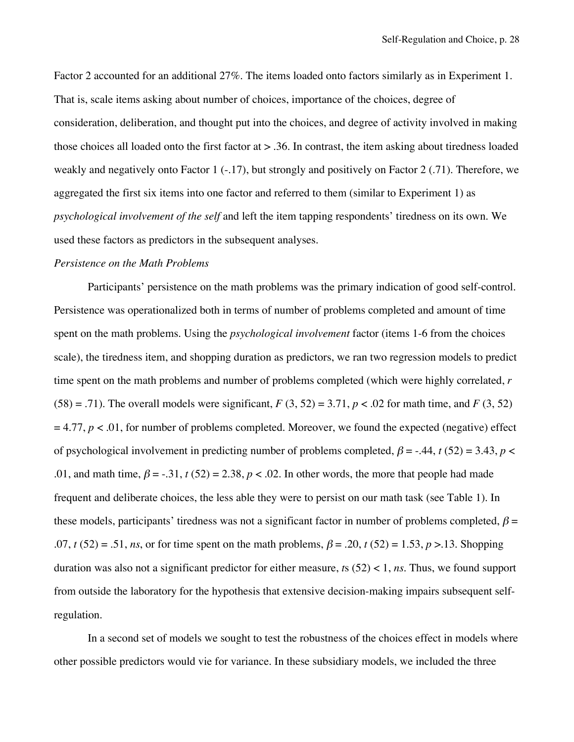Factor 2 accounted for an additional 27%. The items loaded onto factors similarly as in Experiment 1. That is, scale items asking about number of choices, importance of the choices, degree of consideration, deliberation, and thought put into the choices, and degree of activity involved in making those choices all loaded onto the first factor at > .36. In contrast, the item asking about tiredness loaded weakly and negatively onto Factor 1 (-.17), but strongly and positively on Factor 2 (.71). Therefore, we aggregated the first six items into one factor and referred to them (similar to Experiment 1) as *psychological involvement of the self* and left the item tapping respondents' tiredness on its own. We used these factors as predictors in the subsequent analyses.

#### *Persistence on the Math Problems*

Participants' persistence on the math problems was the primary indication of good self-control. Persistence was operationalized both in terms of number of problems completed and amount of time spent on the math problems. Using the *psychological involvement* factor (items 1-6 from the choices scale), the tiredness item, and shopping duration as predictors, we ran two regression models to predict time spent on the math problems and number of problems completed (which were highly correlated, *r*  $(58) = .71$ ). The overall models were significant,  $F(3, 52) = 3.71$ ,  $p < .02$  for math time, and  $F(3, 52)$  $= 4.77, p < 0.01$ , for number of problems completed. Moreover, we found the expected (negative) effect of psychological involvement in predicting number of problems completed,  $\beta$  = -.44, *t* (52) = 3.43, *p* < .01, and math time,  $\beta = -0.31$ ,  $t(52) = 2.38$ ,  $p < 0.02$ . In other words, the more that people had made frequent and deliberate choices, the less able they were to persist on our math task (see Table 1). In these models, participants' tiredness was not a significant factor in number of problems completed,  $\beta$  = .07, *t* (52) = .51, *ns*, or for time spent on the math problems,  $\beta$  = .20, *t* (52) = 1.53, *p* > 13. Shopping duration was also not a significant predictor for either measure, *t*s (52) < 1, *ns*. Thus, we found support from outside the laboratory for the hypothesis that extensive decision-making impairs subsequent selfregulation.

In a second set of models we sought to test the robustness of the choices effect in models where other possible predictors would vie for variance. In these subsidiary models, we included the three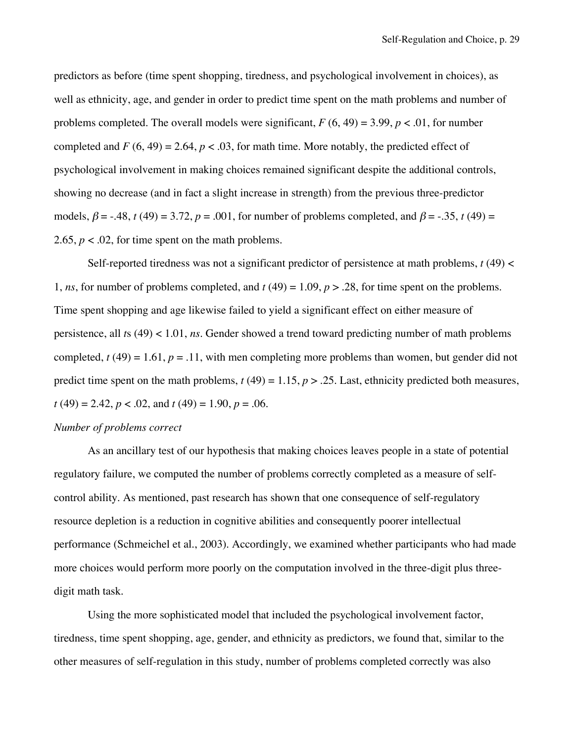predictors as before (time spent shopping, tiredness, and psychological involvement in choices), as well as ethnicity, age, and gender in order to predict time spent on the math problems and number of problems completed. The overall models were significant,  $F(6, 49) = 3.99$ ,  $p < .01$ , for number completed and  $F(6, 49) = 2.64$ ,  $p < .03$ , for math time. More notably, the predicted effect of psychological involvement in making choices remained significant despite the additional controls, showing no decrease (and in fact a slight increase in strength) from the previous three-predictor models,  $\beta = -0.48$ ,  $t(49) = 3.72$ ,  $p = 0.001$ , for number of problems completed, and  $\beta = -0.35$ ,  $t(49) =$ 2.65,  $p < .02$ , for time spent on the math problems.

Self-reported tiredness was not a significant predictor of persistence at math problems,  $t(49)$  < 1, *ns*, for number of problems completed, and  $t(49) = 1.09$ ,  $p > 0.28$ , for time spent on the problems. Time spent shopping and age likewise failed to yield a significant effect on either measure of persistence, all *t*s (49) < 1.01, *ns*. Gender showed a trend toward predicting number of math problems completed,  $t(49) = 1.61$ ,  $p = .11$ , with men completing more problems than women, but gender did not predict time spent on the math problems,  $t(49) = 1.15$ ,  $p > 0.25$ . Last, ethnicity predicted both measures, *t* (49) = 2.42, *p* < .02, and *t* (49) = 1.90, *p* = .06.

# *Number of problems correct*

As an ancillary test of our hypothesis that making choices leaves people in a state of potential regulatory failure, we computed the number of problems correctly completed as a measure of selfcontrol ability. As mentioned, past research has shown that one consequence of self-regulatory resource depletion is a reduction in cognitive abilities and consequently poorer intellectual performance (Schmeichel et al., 2003). Accordingly, we examined whether participants who had made more choices would perform more poorly on the computation involved in the three-digit plus threedigit math task.

Using the more sophisticated model that included the psychological involvement factor, tiredness, time spent shopping, age, gender, and ethnicity as predictors, we found that, similar to the other measures of self-regulation in this study, number of problems completed correctly was also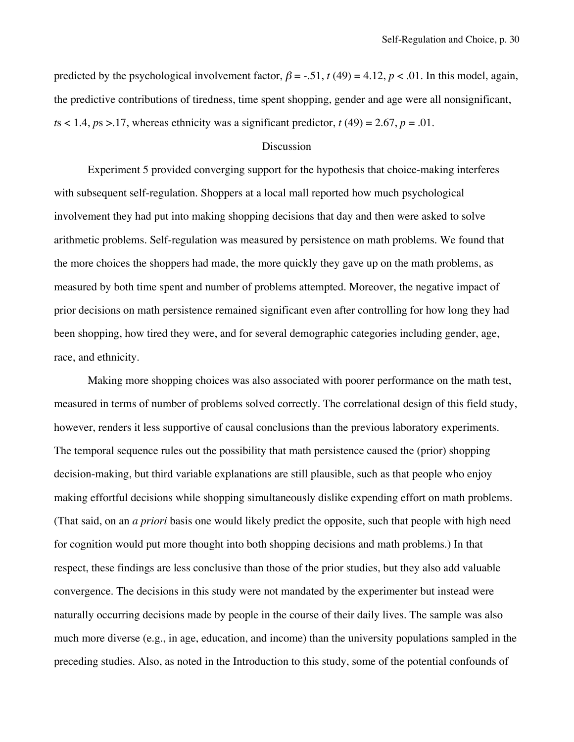predicted by the psychological involvement factor,  $\beta = -0.51$ ,  $t(49) = 4.12$ ,  $p < 0.01$ . In this model, again, the predictive contributions of tiredness, time spent shopping, gender and age were all nonsignificant,  $t s < 1.4$ ,  $p s > 17$ , whereas ethnicity was a significant predictor,  $t(49) = 2.67$ ,  $p = .01$ .

#### **Discussion**

Experiment 5 provided converging support for the hypothesis that choice-making interferes with subsequent self-regulation. Shoppers at a local mall reported how much psychological involvement they had put into making shopping decisions that day and then were asked to solve arithmetic problems. Self-regulation was measured by persistence on math problems. We found that the more choices the shoppers had made, the more quickly they gave up on the math problems, as measured by both time spent and number of problems attempted. Moreover, the negative impact of prior decisions on math persistence remained significant even after controlling for how long they had been shopping, how tired they were, and for several demographic categories including gender, age, race, and ethnicity.

Making more shopping choices was also associated with poorer performance on the math test, measured in terms of number of problems solved correctly. The correlational design of this field study, however, renders it less supportive of causal conclusions than the previous laboratory experiments. The temporal sequence rules out the possibility that math persistence caused the (prior) shopping decision-making, but third variable explanations are still plausible, such as that people who enjoy making effortful decisions while shopping simultaneously dislike expending effort on math problems. (That said, on an *a priori* basis one would likely predict the opposite, such that people with high need for cognition would put more thought into both shopping decisions and math problems.) In that respect, these findings are less conclusive than those of the prior studies, but they also add valuable convergence. The decisions in this study were not mandated by the experimenter but instead were naturally occurring decisions made by people in the course of their daily lives. The sample was also much more diverse (e.g., in age, education, and income) than the university populations sampled in the preceding studies. Also, as noted in the Introduction to this study, some of the potential confounds of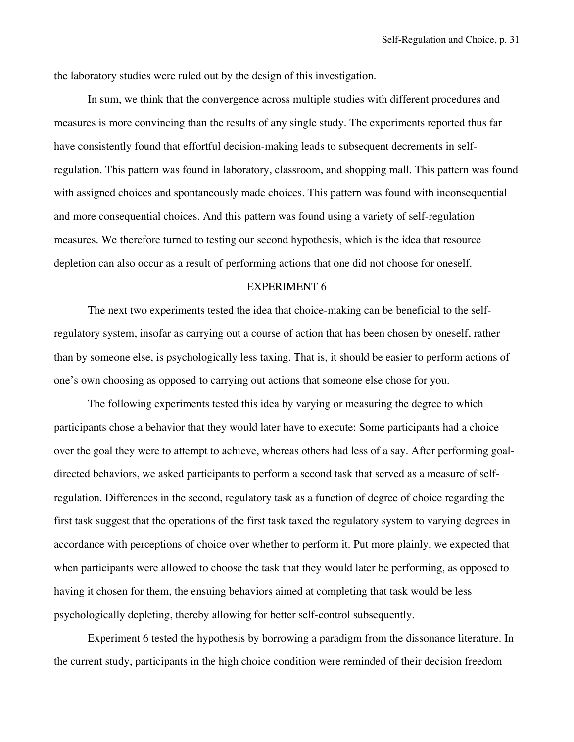the laboratory studies were ruled out by the design of this investigation.

In sum, we think that the convergence across multiple studies with different procedures and measures is more convincing than the results of any single study. The experiments reported thus far have consistently found that effortful decision-making leads to subsequent decrements in selfregulation. This pattern was found in laboratory, classroom, and shopping mall. This pattern was found with assigned choices and spontaneously made choices. This pattern was found with inconsequential and more consequential choices. And this pattern was found using a variety of self-regulation measures. We therefore turned to testing our second hypothesis, which is the idea that resource depletion can also occur as a result of performing actions that one did not choose for oneself.

#### EXPERIMENT 6

The next two experiments tested the idea that choice-making can be beneficial to the selfregulatory system, insofar as carrying out a course of action that has been chosen by oneself, rather than by someone else, is psychologically less taxing. That is, it should be easier to perform actions of one's own choosing as opposed to carrying out actions that someone else chose for you.

The following experiments tested this idea by varying or measuring the degree to which participants chose a behavior that they would later have to execute: Some participants had a choice over the goal they were to attempt to achieve, whereas others had less of a say. After performing goaldirected behaviors, we asked participants to perform a second task that served as a measure of selfregulation. Differences in the second, regulatory task as a function of degree of choice regarding the first task suggest that the operations of the first task taxed the regulatory system to varying degrees in accordance with perceptions of choice over whether to perform it. Put more plainly, we expected that when participants were allowed to choose the task that they would later be performing, as opposed to having it chosen for them, the ensuing behaviors aimed at completing that task would be less psychologically depleting, thereby allowing for better self-control subsequently.

Experiment 6 tested the hypothesis by borrowing a paradigm from the dissonance literature. In the current study, participants in the high choice condition were reminded of their decision freedom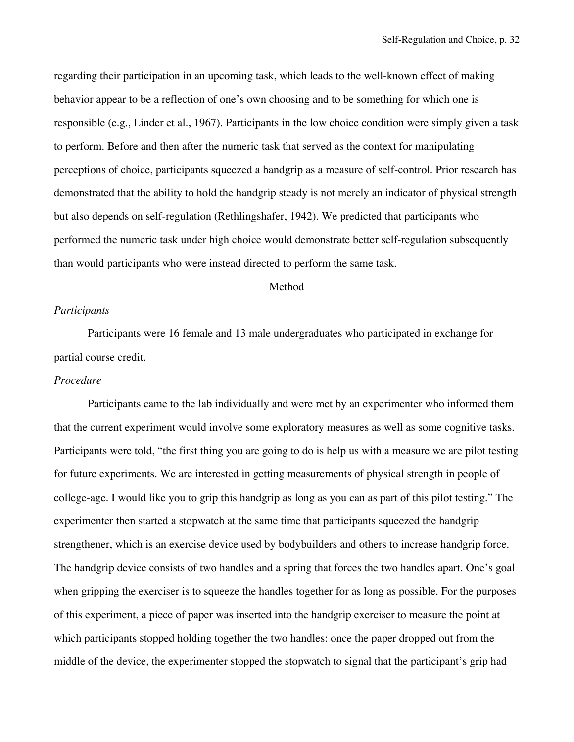regarding their participation in an upcoming task, which leads to the well-known effect of making behavior appear to be a reflection of one's own choosing and to be something for which one is responsible (e.g., Linder et al., 1967). Participants in the low choice condition were simply given a task to perform. Before and then after the numeric task that served as the context for manipulating perceptions of choice, participants squeezed a handgrip as a measure of self-control. Prior research has demonstrated that the ability to hold the handgrip steady is not merely an indicator of physical strength but also depends on self-regulation (Rethlingshafer, 1942). We predicted that participants who performed the numeric task under high choice would demonstrate better self-regulation subsequently than would participants who were instead directed to perform the same task.

# Method

# *Participants*

Participants were 16 female and 13 male undergraduates who participated in exchange for partial course credit.

# *Procedure*

Participants came to the lab individually and were met by an experimenter who informed them that the current experiment would involve some exploratory measures as well as some cognitive tasks. Participants were told, "the first thing you are going to do is help us with a measure we are pilot testing for future experiments. We are interested in getting measurements of physical strength in people of college-age. I would like you to grip this handgrip as long as you can as part of this pilot testing." The experimenter then started a stopwatch at the same time that participants squeezed the handgrip strengthener, which is an exercise device used by bodybuilders and others to increase handgrip force. The handgrip device consists of two handles and a spring that forces the two handles apart. One's goal when gripping the exerciser is to squeeze the handles together for as long as possible. For the purposes of this experiment, a piece of paper was inserted into the handgrip exerciser to measure the point at which participants stopped holding together the two handles: once the paper dropped out from the middle of the device, the experimenter stopped the stopwatch to signal that the participant's grip had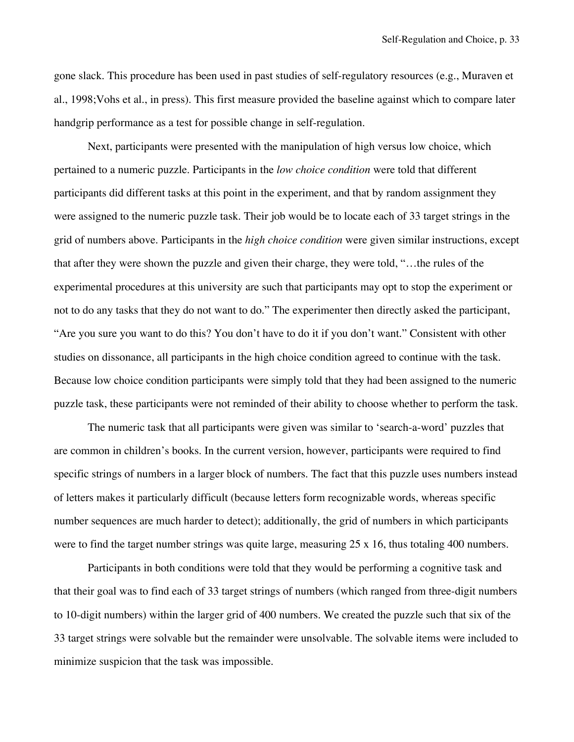gone slack. This procedure has been used in past studies of self-regulatory resources (e.g., Muraven et al., 1998;Vohs et al., in press). This first measure provided the baseline against which to compare later handgrip performance as a test for possible change in self-regulation.

Next, participants were presented with the manipulation of high versus low choice, which pertained to a numeric puzzle. Participants in the *low choice condition* were told that different participants did different tasks at this point in the experiment, and that by random assignment they were assigned to the numeric puzzle task. Their job would be to locate each of 33 target strings in the grid of numbers above. Participants in the *high choice condition* were given similar instructions, except that after they were shown the puzzle and given their charge, they were told, "…the rules of the experimental procedures at this university are such that participants may opt to stop the experiment or not to do any tasks that they do not want to do." The experimenter then directly asked the participant, "Are you sure you want to do this? You don't have to do it if you don't want." Consistent with other studies on dissonance, all participants in the high choice condition agreed to continue with the task. Because low choice condition participants were simply told that they had been assigned to the numeric puzzle task, these participants were not reminded of their ability to choose whether to perform the task.

The numeric task that all participants were given was similar to 'search-a-word' puzzles that are common in children's books. In the current version, however, participants were required to find specific strings of numbers in a larger block of numbers. The fact that this puzzle uses numbers instead of letters makes it particularly difficult (because letters form recognizable words, whereas specific number sequences are much harder to detect); additionally, the grid of numbers in which participants were to find the target number strings was quite large, measuring 25 x 16, thus totaling 400 numbers.

Participants in both conditions were told that they would be performing a cognitive task and that their goal was to find each of 33 target strings of numbers (which ranged from three-digit numbers to 10-digit numbers) within the larger grid of 400 numbers. We created the puzzle such that six of the 33 target strings were solvable but the remainder were unsolvable. The solvable items were included to minimize suspicion that the task was impossible.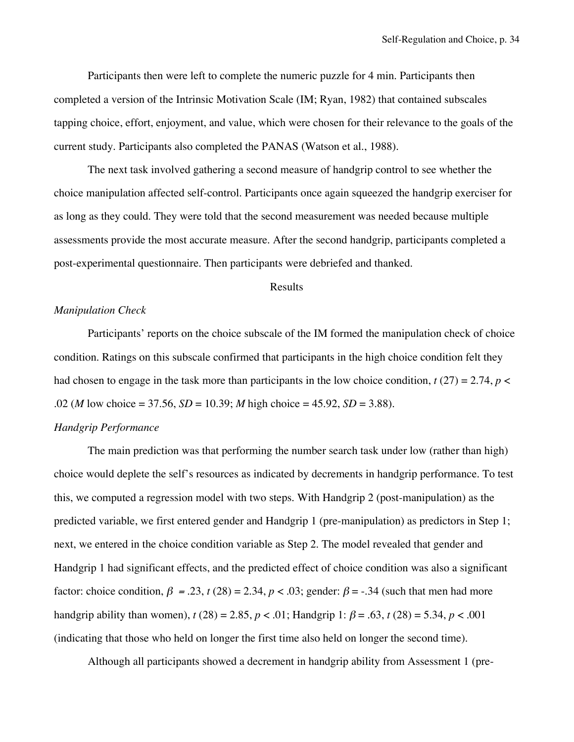Participants then were left to complete the numeric puzzle for 4 min. Participants then completed a version of the Intrinsic Motivation Scale (IM; Ryan, 1982) that contained subscales tapping choice, effort, enjoyment, and value, which were chosen for their relevance to the goals of the current study. Participants also completed the PANAS (Watson et al., 1988).

The next task involved gathering a second measure of handgrip control to see whether the choice manipulation affected self-control. Participants once again squeezed the handgrip exerciser for as long as they could. They were told that the second measurement was needed because multiple assessments provide the most accurate measure. After the second handgrip, participants completed a post-experimental questionnaire. Then participants were debriefed and thanked.

### Results

# *Manipulation Check*

Participants' reports on the choice subscale of the IM formed the manipulation check of choice condition. Ratings on this subscale confirmed that participants in the high choice condition felt they had chosen to engage in the task more than participants in the low choice condition,  $t(27) = 2.74$ ,  $p <$ .02 (*M* low choice = 37.56, *SD* = 10.39; *M* high choice = 45.92, *SD* = 3.88).

# *Handgrip Performance*

The main prediction was that performing the number search task under low (rather than high) choice would deplete the self's resources as indicated by decrements in handgrip performance. To test this, we computed a regression model with two steps. With Handgrip 2 (post-manipulation) as the predicted variable, we first entered gender and Handgrip 1 (pre-manipulation) as predictors in Step 1; next, we entered in the choice condition variable as Step 2. The model revealed that gender and Handgrip 1 had significant effects, and the predicted effect of choice condition was also a significant factor: choice condition,  $\beta = .23$ ,  $t(28) = 2.34$ ,  $p < .03$ ; gender:  $\beta = -.34$  (such that men had more handgrip ability than women),  $t(28) = 2.85$ ,  $p < .01$ ; Handgrip 1:  $\beta = .63$ ,  $t(28) = 5.34$ ,  $p < .001$ (indicating that those who held on longer the first time also held on longer the second time).

Although all participants showed a decrement in handgrip ability from Assessment 1 (pre-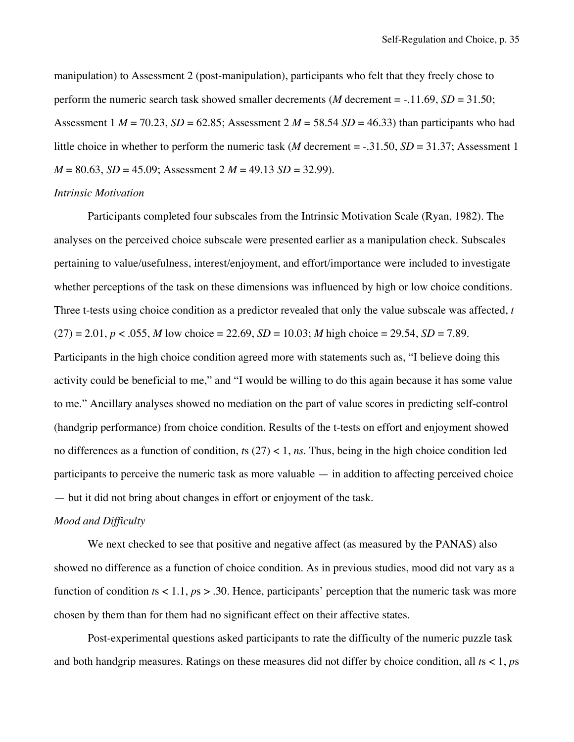manipulation) to Assessment 2 (post-manipulation), participants who felt that they freely chose to perform the numeric search task showed smaller decrements (*M* decrement  $=$  -.11.69, *SD* = 31.50; Assessment 1  $M = 70.23$ ,  $SD = 62.85$ ; Assessment 2  $M = 58.54$   $SD = 46.33$ ) than participants who had little choice in whether to perform the numeric task (*M* decrement = -.31.50, *SD* = 31.37; Assessment 1  $M = 80.63$ ,  $SD = 45.09$ ; Assessment  $2 M = 49.13 SD = 32.99$ ).

# *Intrinsic Motivation*

Participants completed four subscales from the Intrinsic Motivation Scale (Ryan, 1982). The analyses on the perceived choice subscale were presented earlier as a manipulation check. Subscales pertaining to value/usefulness, interest/enjoyment, and effort/importance were included to investigate whether perceptions of the task on these dimensions was influenced by high or low choice conditions. Three t-tests using choice condition as a predictor revealed that only the value subscale was affected, *t*  $(27) = 2.01, p < .055, M$  low choice = 22.69, *SD* = 10.03; *M* high choice = 29.54, *SD* = 7.89. Participants in the high choice condition agreed more with statements such as, "I believe doing this activity could be beneficial to me," and "I would be willing to do this again because it has some value to me." Ancillary analyses showed no mediation on the part of value scores in predicting self-control (handgrip performance) from choice condition. Results of the t-tests on effort and enjoyment showed no differences as a function of condition, *t*s (27) < 1, *ns*. Thus, being in the high choice condition led participants to perceive the numeric task as more valuable — in addition to affecting perceived choice — but it did not bring about changes in effort or enjoyment of the task.

#### *Mood and Difficulty*

We next checked to see that positive and negative affect (as measured by the PANAS) also showed no difference as a function of choice condition. As in previous studies, mood did not vary as a function of condition *t*s < 1.1, *p*s > .30. Hence, participants' perception that the numeric task was more chosen by them than for them had no significant effect on their affective states.

Post-experimental questions asked participants to rate the difficulty of the numeric puzzle task and both handgrip measures. Ratings on these measures did not differ by choice condition, all *t*s < 1, *p*s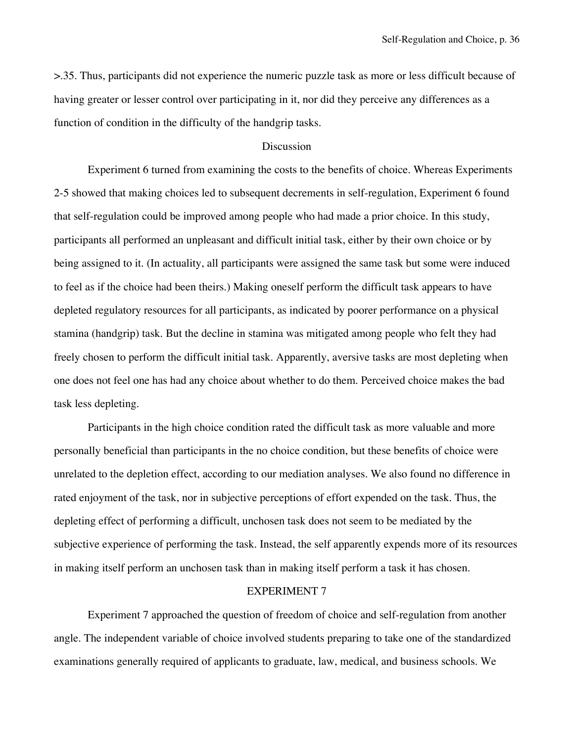>.35. Thus, participants did not experience the numeric puzzle task as more or less difficult because of having greater or lesser control over participating in it, nor did they perceive any differences as a function of condition in the difficulty of the handgrip tasks.

# **Discussion**

Experiment 6 turned from examining the costs to the benefits of choice. Whereas Experiments 2-5 showed that making choices led to subsequent decrements in self-regulation, Experiment 6 found that self-regulation could be improved among people who had made a prior choice. In this study, participants all performed an unpleasant and difficult initial task, either by their own choice or by being assigned to it. (In actuality, all participants were assigned the same task but some were induced to feel as if the choice had been theirs.) Making oneself perform the difficult task appears to have depleted regulatory resources for all participants, as indicated by poorer performance on a physical stamina (handgrip) task. But the decline in stamina was mitigated among people who felt they had freely chosen to perform the difficult initial task. Apparently, aversive tasks are most depleting when one does not feel one has had any choice about whether to do them. Perceived choice makes the bad task less depleting.

Participants in the high choice condition rated the difficult task as more valuable and more personally beneficial than participants in the no choice condition, but these benefits of choice were unrelated to the depletion effect, according to our mediation analyses. We also found no difference in rated enjoyment of the task, nor in subjective perceptions of effort expended on the task. Thus, the depleting effect of performing a difficult, unchosen task does not seem to be mediated by the subjective experience of performing the task. Instead, the self apparently expends more of its resources in making itself perform an unchosen task than in making itself perform a task it has chosen.

# EXPERIMENT 7

Experiment 7 approached the question of freedom of choice and self-regulation from another angle. The independent variable of choice involved students preparing to take one of the standardized examinations generally required of applicants to graduate, law, medical, and business schools. We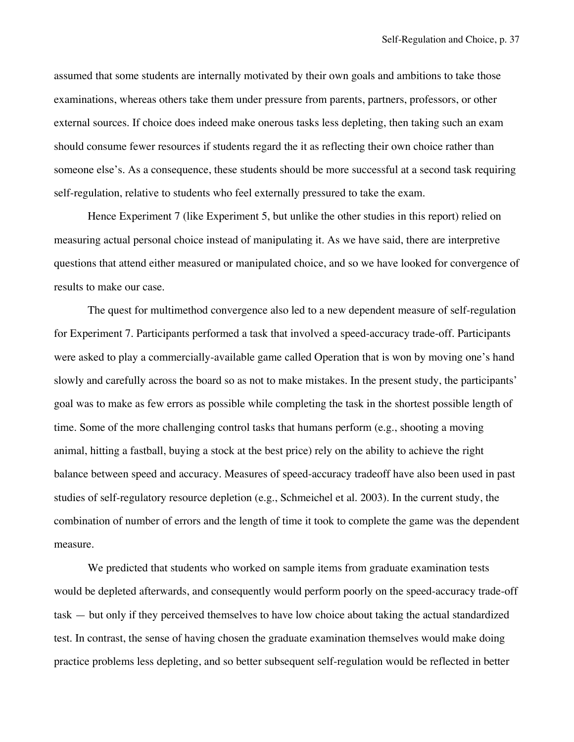assumed that some students are internally motivated by their own goals and ambitions to take those examinations, whereas others take them under pressure from parents, partners, professors, or other external sources. If choice does indeed make onerous tasks less depleting, then taking such an exam should consume fewer resources if students regard the it as reflecting their own choice rather than someone else's. As a consequence, these students should be more successful at a second task requiring self-regulation, relative to students who feel externally pressured to take the exam.

Hence Experiment 7 (like Experiment 5, but unlike the other studies in this report) relied on measuring actual personal choice instead of manipulating it. As we have said, there are interpretive questions that attend either measured or manipulated choice, and so we have looked for convergence of results to make our case.

The quest for multimethod convergence also led to a new dependent measure of self-regulation for Experiment 7. Participants performed a task that involved a speed-accuracy trade-off. Participants were asked to play a commercially-available game called Operation that is won by moving one's hand slowly and carefully across the board so as not to make mistakes. In the present study, the participants' goal was to make as few errors as possible while completing the task in the shortest possible length of time. Some of the more challenging control tasks that humans perform (e.g., shooting a moving animal, hitting a fastball, buying a stock at the best price) rely on the ability to achieve the right balance between speed and accuracy. Measures of speed-accuracy tradeoff have also been used in past studies of self-regulatory resource depletion (e.g., Schmeichel et al. 2003). In the current study, the combination of number of errors and the length of time it took to complete the game was the dependent measure.

We predicted that students who worked on sample items from graduate examination tests would be depleted afterwards, and consequently would perform poorly on the speed-accuracy trade-off task — but only if they perceived themselves to have low choice about taking the actual standardized test. In contrast, the sense of having chosen the graduate examination themselves would make doing practice problems less depleting, and so better subsequent self-regulation would be reflected in better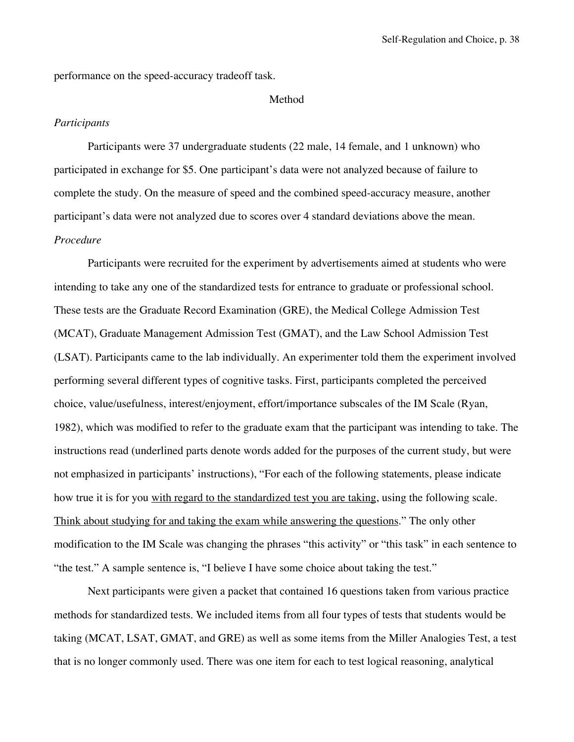performance on the speed-accuracy tradeoff task.

#### Method

# *Participants*

Participants were 37 undergraduate students (22 male, 14 female, and 1 unknown) who participated in exchange for \$5. One participant's data were not analyzed because of failure to complete the study. On the measure of speed and the combined speed-accuracy measure, another participant's data were not analyzed due to scores over 4 standard deviations above the mean. *Procedure*

Participants were recruited for the experiment by advertisements aimed at students who were intending to take any one of the standardized tests for entrance to graduate or professional school. These tests are the Graduate Record Examination (GRE), the Medical College Admission Test (MCAT), Graduate Management Admission Test (GMAT), and the Law School Admission Test (LSAT). Participants came to the lab individually. An experimenter told them the experiment involved performing several different types of cognitive tasks. First, participants completed the perceived choice, value/usefulness, interest/enjoyment, effort/importance subscales of the IM Scale (Ryan, 1982), which was modified to refer to the graduate exam that the participant was intending to take. The instructions read (underlined parts denote words added for the purposes of the current study, but were not emphasized in participants' instructions), "For each of the following statements, please indicate how true it is for you with regard to the standardized test you are taking, using the following scale. Think about studying for and taking the exam while answering the questions." The only other modification to the IM Scale was changing the phrases "this activity" or "this task" in each sentence to "the test." A sample sentence is, "I believe I have some choice about taking the test."

Next participants were given a packet that contained 16 questions taken from various practice methods for standardized tests. We included items from all four types of tests that students would be taking (MCAT, LSAT, GMAT, and GRE) as well as some items from the Miller Analogies Test, a test that is no longer commonly used. There was one item for each to test logical reasoning, analytical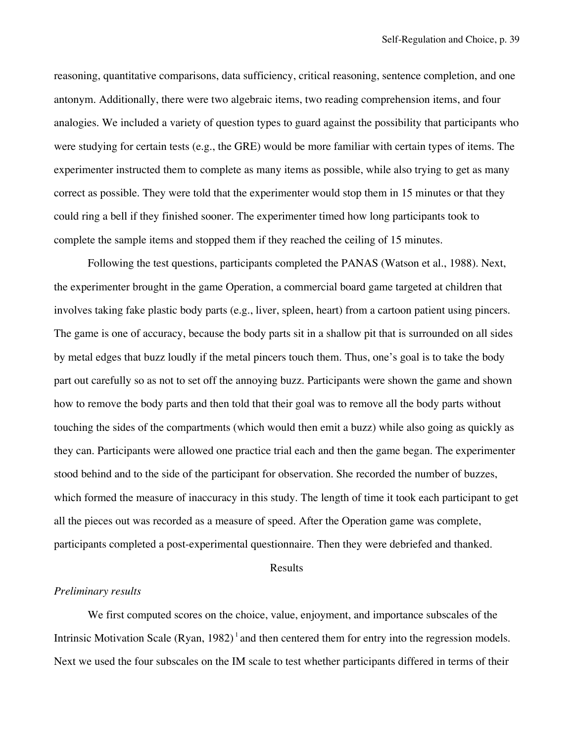reasoning, quantitative comparisons, data sufficiency, critical reasoning, sentence completion, and one antonym. Additionally, there were two algebraic items, two reading comprehension items, and four analogies. We included a variety of question types to guard against the possibility that participants who were studying for certain tests (e.g., the GRE) would be more familiar with certain types of items. The experimenter instructed them to complete as many items as possible, while also trying to get as many correct as possible. They were told that the experimenter would stop them in 15 minutes or that they could ring a bell if they finished sooner. The experimenter timed how long participants took to complete the sample items and stopped them if they reached the ceiling of 15 minutes.

Following the test questions, participants completed the PANAS (Watson et al., 1988). Next, the experimenter brought in the game Operation, a commercial board game targeted at children that involves taking fake plastic body parts (e.g., liver, spleen, heart) from a cartoon patient using pincers. The game is one of accuracy, because the body parts sit in a shallow pit that is surrounded on all sides by metal edges that buzz loudly if the metal pincers touch them. Thus, one's goal is to take the body part out carefully so as not to set off the annoying buzz. Participants were shown the game and shown how to remove the body parts and then told that their goal was to remove all the body parts without touching the sides of the compartments (which would then emit a buzz) while also going as quickly as they can. Participants were allowed one practice trial each and then the game began. The experimenter stood behind and to the side of the participant for observation. She recorded the number of buzzes, which formed the measure of inaccuracy in this study. The length of time it took each participant to get all the pieces out was recorded as a measure of speed. After the Operation game was complete, participants completed a post-experimental questionnaire. Then they were debriefed and thanked.

### Results

### *Preliminary results*

We first computed scores on the choice, value, enjoyment, and importance subscales of the Intrinsic Motivation Scale  $(Ryan, 1982)^T$  and then centered them for entry into the regression models. Next we used the four subscales on the IM scale to test whether participants differed in terms of their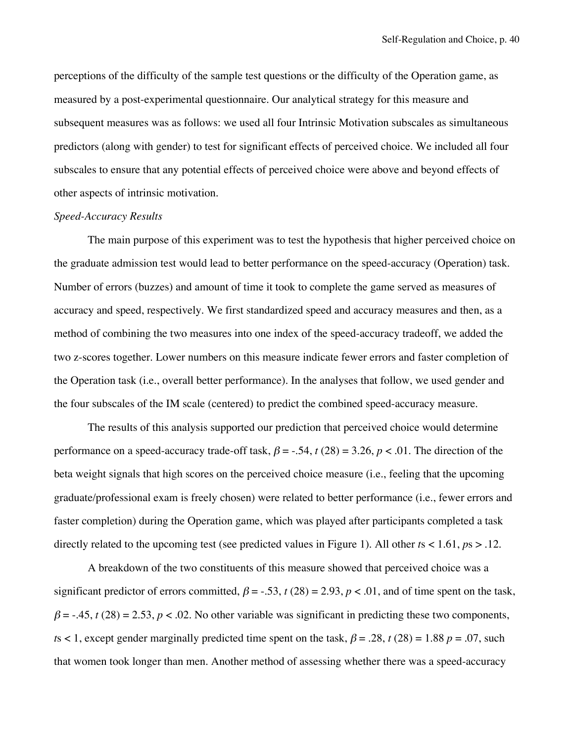perceptions of the difficulty of the sample test questions or the difficulty of the Operation game, as measured by a post-experimental questionnaire. Our analytical strategy for this measure and subsequent measures was as follows: we used all four Intrinsic Motivation subscales as simultaneous predictors (along with gender) to test for significant effects of perceived choice. We included all four subscales to ensure that any potential effects of perceived choice were above and beyond effects of other aspects of intrinsic motivation.

# *Speed-Accuracy Results*

The main purpose of this experiment was to test the hypothesis that higher perceived choice on the graduate admission test would lead to better performance on the speed-accuracy (Operation) task. Number of errors (buzzes) and amount of time it took to complete the game served as measures of accuracy and speed, respectively. We first standardized speed and accuracy measures and then, as a method of combining the two measures into one index of the speed-accuracy tradeoff, we added the two z-scores together. Lower numbers on this measure indicate fewer errors and faster completion of the Operation task (i.e., overall better performance). In the analyses that follow, we used gender and the four subscales of the IM scale (centered) to predict the combined speed-accuracy measure.

The results of this analysis supported our prediction that perceived choice would determine performance on a speed-accuracy trade-off task,  $\beta = -.54$ ,  $t(28) = 3.26$ ,  $p < .01$ . The direction of the beta weight signals that high scores on the perceived choice measure (i.e., feeling that the upcoming graduate/professional exam is freely chosen) were related to better performance (i.e., fewer errors and faster completion) during the Operation game, which was played after participants completed a task directly related to the upcoming test (see predicted values in Figure 1). All other *t*s < 1.61, *p*s > .12.

A breakdown of the two constituents of this measure showed that perceived choice was a significant predictor of errors committed,  $\beta = -0.53$ ,  $t(28) = 2.93$ ,  $p < 0.01$ , and of time spent on the task,  $\beta$  = -.45, *t* (28) = 2.53, *p* < .02. No other variable was significant in predicting these two components, *t*s < 1, except gender marginally predicted time spent on the task,  $\beta = .28$ , *t* (28) = 1.88 *p* = .07, such that women took longer than men. Another method of assessing whether there was a speed-accuracy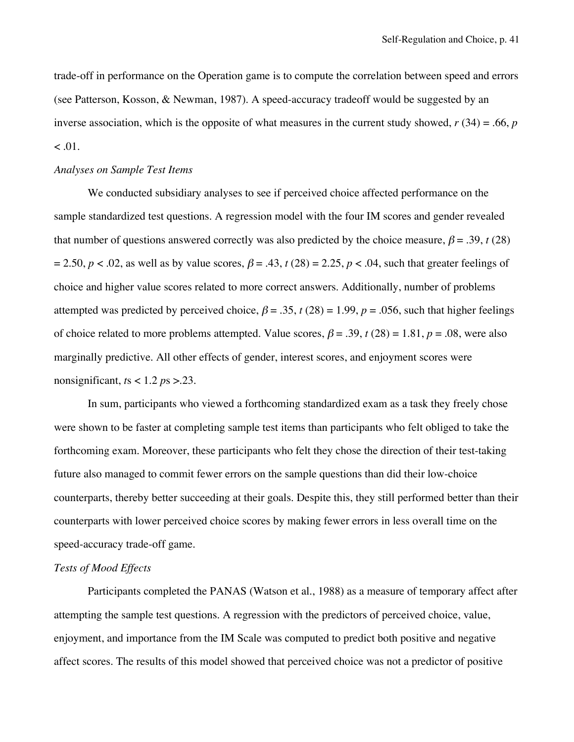trade-off in performance on the Operation game is to compute the correlation between speed and errors (see Patterson, Kosson, & Newman, 1987). A speed-accuracy tradeoff would be suggested by an inverse association, which is the opposite of what measures in the current study showed,  $r(34) = .66$ ,  $p(34) = .66$  $< 0.01$ .

# *Analyses on Sample Test Items*

We conducted subsidiary analyses to see if perceived choice affected performance on the sample standardized test questions. A regression model with the four IM scores and gender revealed that number of questions answered correctly was also predicted by the choice measure,  $\beta = .39$ , *t* (28)  $= 2.50, p < .02$ , as well as by value scores,  $\beta = .43$ ,  $t(28) = 2.25, p < .04$ , such that greater feelings of choice and higher value scores related to more correct answers. Additionally, number of problems attempted was predicted by perceived choice,  $\beta = .35$ ,  $t(28) = 1.99$ ,  $p = .056$ , such that higher feelings of choice related to more problems attempted. Value scores,  $\beta = .39$ ,  $t(28) = 1.81$ ,  $p = .08$ , were also marginally predictive. All other effects of gender, interest scores, and enjoyment scores were nonsignificant, *t*s < 1.2 *p*s >.23.

In sum, participants who viewed a forthcoming standardized exam as a task they freely chose were shown to be faster at completing sample test items than participants who felt obliged to take the forthcoming exam. Moreover, these participants who felt they chose the direction of their test-taking future also managed to commit fewer errors on the sample questions than did their low-choice counterparts, thereby better succeeding at their goals. Despite this, they still performed better than their counterparts with lower perceived choice scores by making fewer errors in less overall time on the speed-accuracy trade-off game.

# *Tests of Mood Effects*

Participants completed the PANAS (Watson et al., 1988) as a measure of temporary affect after attempting the sample test questions. A regression with the predictors of perceived choice, value, enjoyment, and importance from the IM Scale was computed to predict both positive and negative affect scores. The results of this model showed that perceived choice was not a predictor of positive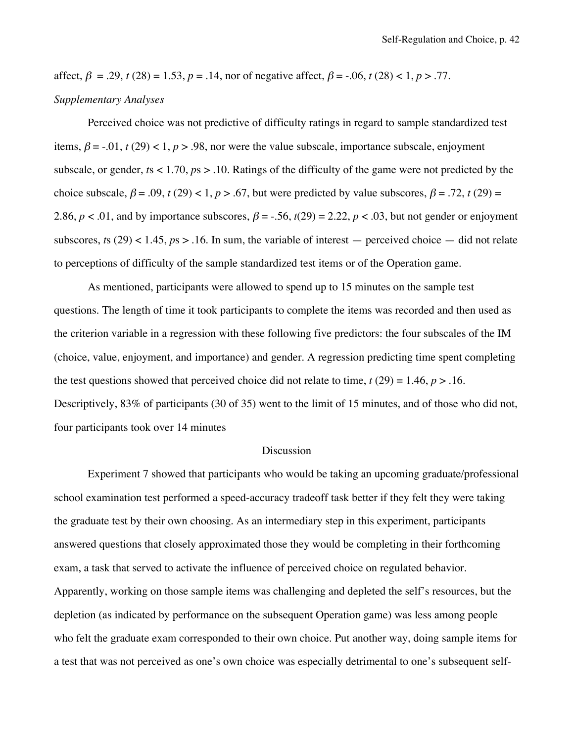affect,  $\beta = .29$ ,  $t(28) = 1.53$ ,  $p = .14$ , nor of negative affect,  $\beta = .06$ ,  $t(28) < 1$ ,  $p > .77$ .

# *Supplementary Analyses*

Perceived choice was not predictive of difficulty ratings in regard to sample standardized test items,  $\beta = -0.01$ ,  $t(29) < 1$ ,  $p > 0.98$ , nor were the value subscale, importance subscale, enjoyment subscale, or gender, *t*s < 1.70, *p*s > .10. Ratings of the difficulty of the game were not predicted by the choice subscale,  $\beta = .09$ ,  $t(29) < 1$ ,  $p > .67$ , but were predicted by value subscores,  $\beta = .72$ ,  $t(29) =$ 2.86,  $p < .01$ , and by importance subscores,  $\beta = -.56$ ,  $t(29) = 2.22$ ,  $p < .03$ , but not gender or enjoyment subscores,  $ts(29) < 1.45$ ,  $ps > 0.16$ . In sum, the variable of interest — perceived choice — did not relate to perceptions of difficulty of the sample standardized test items or of the Operation game.

As mentioned, participants were allowed to spend up to 15 minutes on the sample test questions. The length of time it took participants to complete the items was recorded and then used as the criterion variable in a regression with these following five predictors: the four subscales of the IM (choice, value, enjoyment, and importance) and gender. A regression predicting time spent completing the test questions showed that perceived choice did not relate to time,  $t(29) = 1.46$ ,  $p > 0.16$ . Descriptively, 83% of participants (30 of 35) went to the limit of 15 minutes, and of those who did not, four participants took over 14 minutes

# Discussion

Experiment 7 showed that participants who would be taking an upcoming graduate/professional school examination test performed a speed-accuracy tradeoff task better if they felt they were taking the graduate test by their own choosing. As an intermediary step in this experiment, participants answered questions that closely approximated those they would be completing in their forthcoming exam, a task that served to activate the influence of perceived choice on regulated behavior. Apparently, working on those sample items was challenging and depleted the self's resources, but the depletion (as indicated by performance on the subsequent Operation game) was less among people who felt the graduate exam corresponded to their own choice. Put another way, doing sample items for a test that was not perceived as one's own choice was especially detrimental to one's subsequent self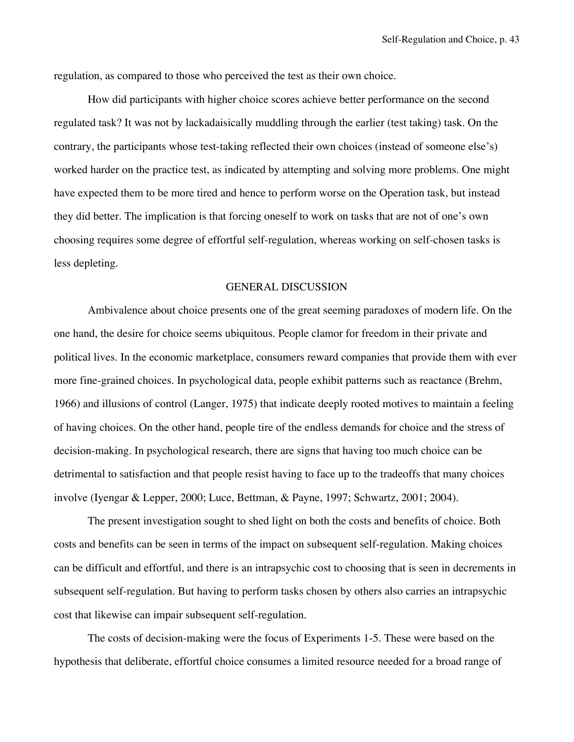regulation, as compared to those who perceived the test as their own choice.

How did participants with higher choice scores achieve better performance on the second regulated task? It was not by lackadaisically muddling through the earlier (test taking) task. On the contrary, the participants whose test-taking reflected their own choices (instead of someone else's) worked harder on the practice test, as indicated by attempting and solving more problems. One might have expected them to be more tired and hence to perform worse on the Operation task, but instead they did better. The implication is that forcing oneself to work on tasks that are not of one's own choosing requires some degree of effortful self-regulation, whereas working on self-chosen tasks is less depleting.

#### GENERAL DISCUSSION

Ambivalence about choice presents one of the great seeming paradoxes of modern life. On the one hand, the desire for choice seems ubiquitous. People clamor for freedom in their private and political lives. In the economic marketplace, consumers reward companies that provide them with ever more fine-grained choices. In psychological data, people exhibit patterns such as reactance (Brehm, 1966) and illusions of control (Langer, 1975) that indicate deeply rooted motives to maintain a feeling of having choices. On the other hand, people tire of the endless demands for choice and the stress of decision-making. In psychological research, there are signs that having too much choice can be detrimental to satisfaction and that people resist having to face up to the tradeoffs that many choices involve (Iyengar & Lepper, 2000; Luce, Bettman, & Payne, 1997; Schwartz, 2001; 2004).

The present investigation sought to shed light on both the costs and benefits of choice. Both costs and benefits can be seen in terms of the impact on subsequent self-regulation. Making choices can be difficult and effortful, and there is an intrapsychic cost to choosing that is seen in decrements in subsequent self-regulation. But having to perform tasks chosen by others also carries an intrapsychic cost that likewise can impair subsequent self-regulation.

The costs of decision-making were the focus of Experiments 1-5. These were based on the hypothesis that deliberate, effortful choice consumes a limited resource needed for a broad range of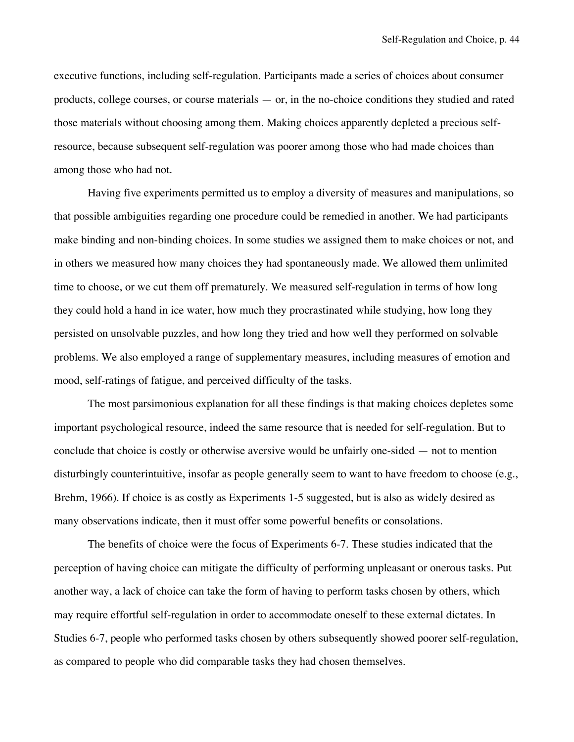executive functions, including self-regulation. Participants made a series of choices about consumer products, college courses, or course materials — or, in the no-choice conditions they studied and rated those materials without choosing among them. Making choices apparently depleted a precious selfresource, because subsequent self-regulation was poorer among those who had made choices than among those who had not.

Having five experiments permitted us to employ a diversity of measures and manipulations, so that possible ambiguities regarding one procedure could be remedied in another. We had participants make binding and non-binding choices. In some studies we assigned them to make choices or not, and in others we measured how many choices they had spontaneously made. We allowed them unlimited time to choose, or we cut them off prematurely. We measured self-regulation in terms of how long they could hold a hand in ice water, how much they procrastinated while studying, how long they persisted on unsolvable puzzles, and how long they tried and how well they performed on solvable problems. We also employed a range of supplementary measures, including measures of emotion and mood, self-ratings of fatigue, and perceived difficulty of the tasks.

The most parsimonious explanation for all these findings is that making choices depletes some important psychological resource, indeed the same resource that is needed for self-regulation. But to conclude that choice is costly or otherwise aversive would be unfairly one-sided — not to mention disturbingly counterintuitive, insofar as people generally seem to want to have freedom to choose (e.g., Brehm, 1966). If choice is as costly as Experiments 1-5 suggested, but is also as widely desired as many observations indicate, then it must offer some powerful benefits or consolations.

The benefits of choice were the focus of Experiments 6-7. These studies indicated that the perception of having choice can mitigate the difficulty of performing unpleasant or onerous tasks. Put another way, a lack of choice can take the form of having to perform tasks chosen by others, which may require effortful self-regulation in order to accommodate oneself to these external dictates. In Studies 6-7, people who performed tasks chosen by others subsequently showed poorer self-regulation, as compared to people who did comparable tasks they had chosen themselves.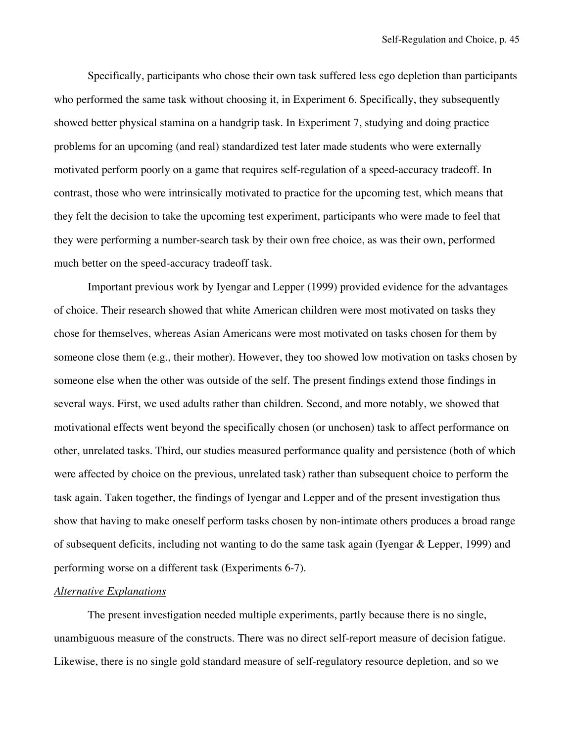Specifically, participants who chose their own task suffered less ego depletion than participants who performed the same task without choosing it, in Experiment 6. Specifically, they subsequently showed better physical stamina on a handgrip task. In Experiment 7, studying and doing practice problems for an upcoming (and real) standardized test later made students who were externally motivated perform poorly on a game that requires self-regulation of a speed-accuracy tradeoff. In contrast, those who were intrinsically motivated to practice for the upcoming test, which means that they felt the decision to take the upcoming test experiment, participants who were made to feel that they were performing a number-search task by their own free choice, as was their own, performed much better on the speed-accuracy tradeoff task.

Important previous work by Iyengar and Lepper (1999) provided evidence for the advantages of choice. Their research showed that white American children were most motivated on tasks they chose for themselves, whereas Asian Americans were most motivated on tasks chosen for them by someone close them (e.g., their mother). However, they too showed low motivation on tasks chosen by someone else when the other was outside of the self. The present findings extend those findings in several ways. First, we used adults rather than children. Second, and more notably, we showed that motivational effects went beyond the specifically chosen (or unchosen) task to affect performance on other, unrelated tasks. Third, our studies measured performance quality and persistence (both of which were affected by choice on the previous, unrelated task) rather than subsequent choice to perform the task again. Taken together, the findings of Iyengar and Lepper and of the present investigation thus show that having to make oneself perform tasks chosen by non-intimate others produces a broad range of subsequent deficits, including not wanting to do the same task again (Iyengar & Lepper, 1999) and performing worse on a different task (Experiments 6-7).

# *Alternative Explanations*

The present investigation needed multiple experiments, partly because there is no single, unambiguous measure of the constructs. There was no direct self-report measure of decision fatigue. Likewise, there is no single gold standard measure of self-regulatory resource depletion, and so we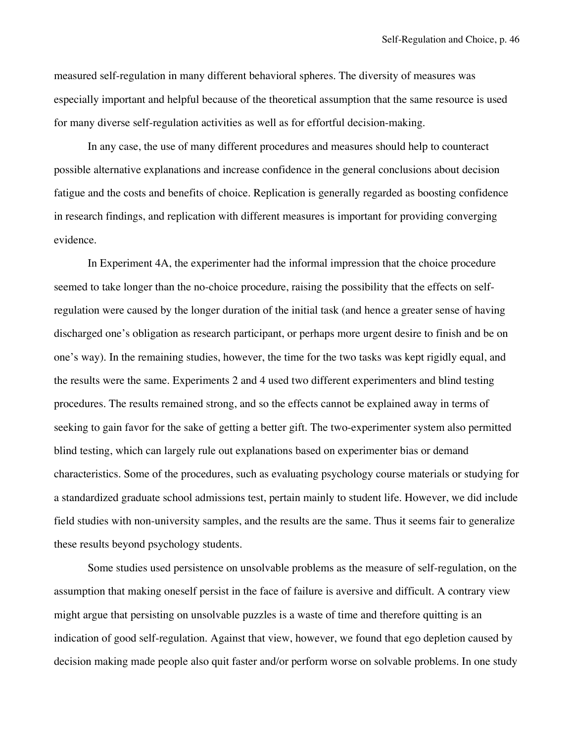measured self-regulation in many different behavioral spheres. The diversity of measures was especially important and helpful because of the theoretical assumption that the same resource is used for many diverse self-regulation activities as well as for effortful decision-making.

In any case, the use of many different procedures and measures should help to counteract possible alternative explanations and increase confidence in the general conclusions about decision fatigue and the costs and benefits of choice. Replication is generally regarded as boosting confidence in research findings, and replication with different measures is important for providing converging evidence.

In Experiment 4A, the experimenter had the informal impression that the choice procedure seemed to take longer than the no-choice procedure, raising the possibility that the effects on selfregulation were caused by the longer duration of the initial task (and hence a greater sense of having discharged one's obligation as research participant, or perhaps more urgent desire to finish and be on one's way). In the remaining studies, however, the time for the two tasks was kept rigidly equal, and the results were the same. Experiments 2 and 4 used two different experimenters and blind testing procedures. The results remained strong, and so the effects cannot be explained away in terms of seeking to gain favor for the sake of getting a better gift. The two-experimenter system also permitted blind testing, which can largely rule out explanations based on experimenter bias or demand characteristics. Some of the procedures, such as evaluating psychology course materials or studying for a standardized graduate school admissions test, pertain mainly to student life. However, we did include field studies with non-university samples, and the results are the same. Thus it seems fair to generalize these results beyond psychology students.

Some studies used persistence on unsolvable problems as the measure of self-regulation, on the assumption that making oneself persist in the face of failure is aversive and difficult. A contrary view might argue that persisting on unsolvable puzzles is a waste of time and therefore quitting is an indication of good self-regulation. Against that view, however, we found that ego depletion caused by decision making made people also quit faster and/or perform worse on solvable problems. In one study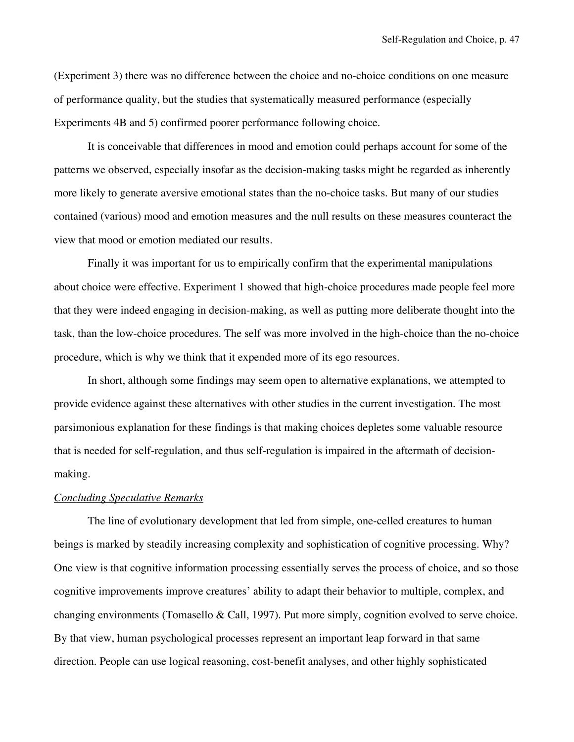(Experiment 3) there was no difference between the choice and no-choice conditions on one measure of performance quality, but the studies that systematically measured performance (especially Experiments 4B and 5) confirmed poorer performance following choice.

It is conceivable that differences in mood and emotion could perhaps account for some of the patterns we observed, especially insofar as the decision-making tasks might be regarded as inherently more likely to generate aversive emotional states than the no-choice tasks. But many of our studies contained (various) mood and emotion measures and the null results on these measures counteract the view that mood or emotion mediated our results.

Finally it was important for us to empirically confirm that the experimental manipulations about choice were effective. Experiment 1 showed that high-choice procedures made people feel more that they were indeed engaging in decision-making, as well as putting more deliberate thought into the task, than the low-choice procedures. The self was more involved in the high-choice than the no-choice procedure, which is why we think that it expended more of its ego resources.

In short, although some findings may seem open to alternative explanations, we attempted to provide evidence against these alternatives with other studies in the current investigation. The most parsimonious explanation for these findings is that making choices depletes some valuable resource that is needed for self-regulation, and thus self-regulation is impaired in the aftermath of decisionmaking.

### *Concluding Speculative Remarks*

The line of evolutionary development that led from simple, one-celled creatures to human beings is marked by steadily increasing complexity and sophistication of cognitive processing. Why? One view is that cognitive information processing essentially serves the process of choice, and so those cognitive improvements improve creatures' ability to adapt their behavior to multiple, complex, and changing environments (Tomasello & Call, 1997). Put more simply, cognition evolved to serve choice. By that view, human psychological processes represent an important leap forward in that same direction. People can use logical reasoning, cost-benefit analyses, and other highly sophisticated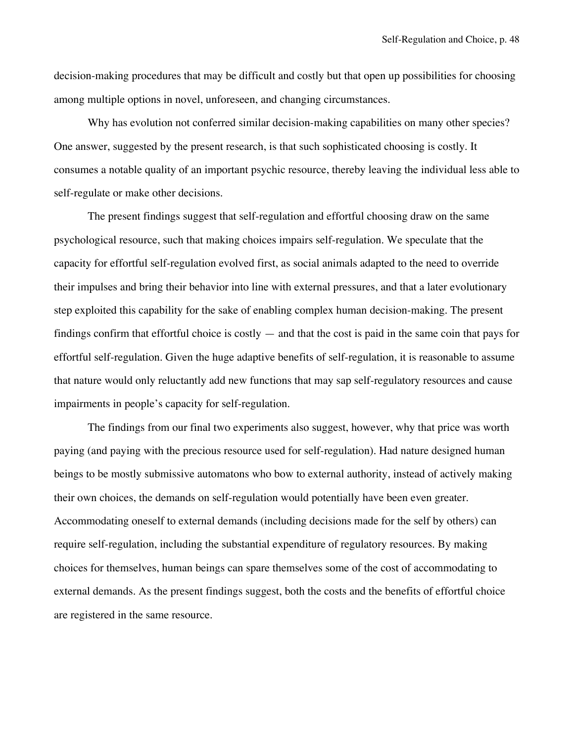decision-making procedures that may be difficult and costly but that open up possibilities for choosing among multiple options in novel, unforeseen, and changing circumstances.

Why has evolution not conferred similar decision-making capabilities on many other species? One answer, suggested by the present research, is that such sophisticated choosing is costly. It consumes a notable quality of an important psychic resource, thereby leaving the individual less able to self-regulate or make other decisions.

The present findings suggest that self-regulation and effortful choosing draw on the same psychological resource, such that making choices impairs self-regulation. We speculate that the capacity for effortful self-regulation evolved first, as social animals adapted to the need to override their impulses and bring their behavior into line with external pressures, and that a later evolutionary step exploited this capability for the sake of enabling complex human decision-making. The present findings confirm that effortful choice is costly — and that the cost is paid in the same coin that pays for effortful self-regulation. Given the huge adaptive benefits of self-regulation, it is reasonable to assume that nature would only reluctantly add new functions that may sap self-regulatory resources and cause impairments in people's capacity for self-regulation.

The findings from our final two experiments also suggest, however, why that price was worth paying (and paying with the precious resource used for self-regulation). Had nature designed human beings to be mostly submissive automatons who bow to external authority, instead of actively making their own choices, the demands on self-regulation would potentially have been even greater. Accommodating oneself to external demands (including decisions made for the self by others) can require self-regulation, including the substantial expenditure of regulatory resources. By making choices for themselves, human beings can spare themselves some of the cost of accommodating to external demands. As the present findings suggest, both the costs and the benefits of effortful choice are registered in the same resource.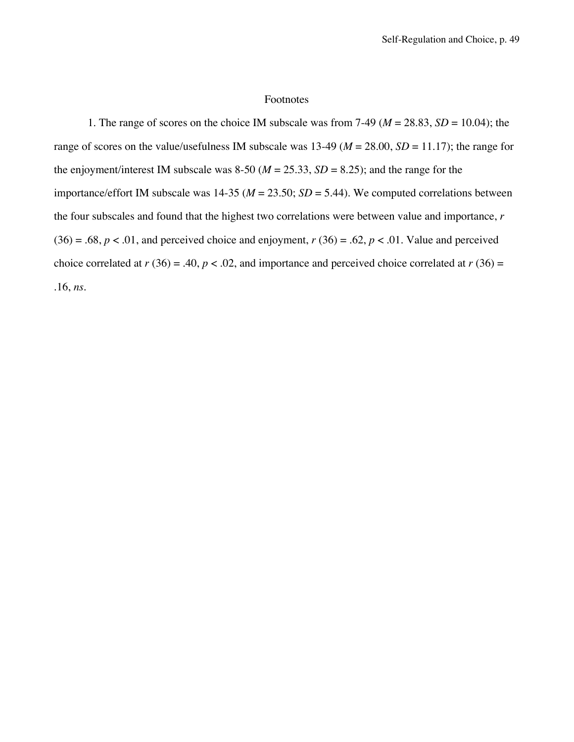# Footnotes

1. The range of scores on the choice IM subscale was from  $7-49$  ( $M = 28.83$ ,  $SD = 10.04$ ); the range of scores on the value/usefulness IM subscale was  $13-49$  ( $M = 28.00$ ,  $SD = 11.17$ ); the range for the enjoyment/interest IM subscale was 8-50 ( $M = 25.33$ ,  $SD = 8.25$ ); and the range for the importance/effort IM subscale was  $14-35$  ( $M = 23.50$ ;  $SD = 5.44$ ). We computed correlations between the four subscales and found that the highest two correlations were between value and importance, *r*  $(36) = .68$ ,  $p < .01$ , and perceived choice and enjoyment,  $r(36) = .62$ ,  $p < .01$ . Value and perceived choice correlated at  $r(36) = .40$ ,  $p < .02$ , and importance and perceived choice correlated at  $r(36) =$ .16, *ns*.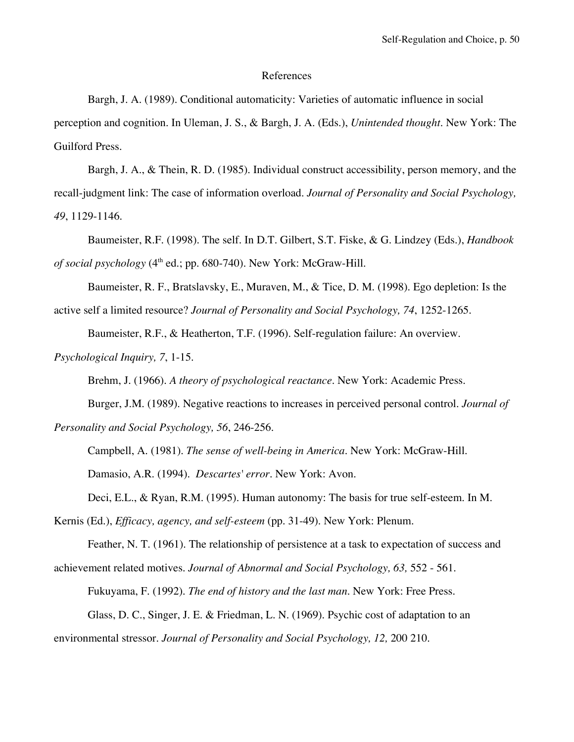### References

Bargh, J. A. (1989). Conditional automaticity: Varieties of automatic influence in social perception and cognition. In Uleman, J. S., & Bargh, J. A. (Eds.), *Unintended thought*. New York: The Guilford Press.

Bargh, J. A., & Thein, R. D. (1985). Individual construct accessibility, person memory, and the recall-judgment link: The case of information overload. *Journal of Personality and Social Psychology, 49*, 1129-1146.

Baumeister, R.F. (1998). The self. In D.T. Gilbert, S.T. Fiske, & G. Lindzey (Eds.), *Handbook of social psychology*  $(4<sup>th</sup>$  ed.; pp. 680-740). New York: McGraw-Hill.

Baumeister, R. F., Bratslavsky, E., Muraven, M., & Tice, D. M. (1998). Ego depletion: Is the active self a limited resource? *Journal of Personality and Social Psychology, 74*, 1252-1265.

Baumeister, R.F., & Heatherton, T.F. (1996). Self-regulation failure: An overview.

*Psychological Inquiry, 7*, 1-15.

Brehm, J. (1966). *A theory of psychological reactance*. New York: Academic Press.

Burger, J.M. (1989). Negative reactions to increases in perceived personal control. *Journal of*

*Personality and Social Psychology, 56*, 246-256.

Campbell, A. (1981). *The sense of well-being in America*. New York: McGraw-Hill.

Damasio, A.R. (1994). *Descartes' error*. New York: Avon.

Deci, E.L., & Ryan, R.M. (1995). Human autonomy: The basis for true self-esteem. In M.

Kernis (Ed.), *Efficacy, agency, and self-esteem* (pp. 31-49). New York: Plenum.

Feather, N. T. (1961). The relationship of persistence at a task to expectation of success and achievement related motives. *Journal of Abnormal and Social Psychology, 63,* 552 - 561.

Fukuyama, F. (1992). *The end of history and the last man*. New York: Free Press. Glass, D. C., Singer, J. E. & Friedman, L. N. (1969). Psychic cost of adaptation to an environmental stressor. *Journal of Personality and Social Psychology, 12,* 200 210.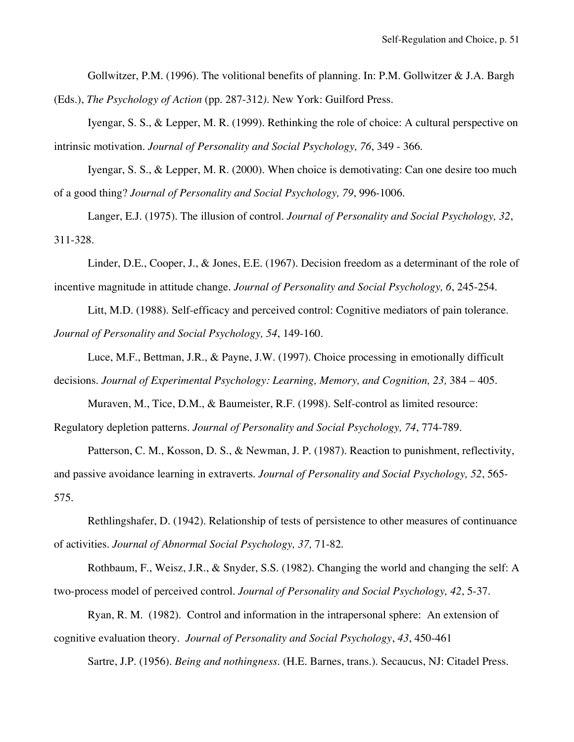Gollwitzer, P.M. (1996). The volitional benefits of planning. In: P.M. Gollwitzer & J.A. Bargh (Eds.), *The Psychology of Action* (pp. 287-312*).* New York: Guilford Press.

Iyengar, S. S., & Lepper, M. R. (1999). Rethinking the role of choice: A cultural perspective on intrinsic motivation. *Journal of Personality and Social Psychology, 76*, 349 - 366.

Iyengar, S. S., & Lepper, M. R. (2000). When choice is demotivating: Can one desire too much of a good thing? *Journal of Personality and Social Psychology, 79*, 996-1006.

Langer, E.J. (1975). The illusion of control. *Journal of Personality and Social Psychology, 32*, 311-328.

Linder, D.E., Cooper, J., & Jones, E.E. (1967). Decision freedom as a determinant of the role of incentive magnitude in attitude change. *Journal of Personality and Social Psychology, 6*, 245-254.

Litt, M.D. (1988). Self-efficacy and perceived control: Cognitive mediators of pain tolerance. *Journal of Personality and Social Psychology, 54*, 149-160.

Luce, M.F., Bettman, J.R., & Payne, J.W. (1997). Choice processing in emotionally difficult decisions. *Journal of Experimental Psychology: Learning, Memory, and Cognition, 23,* 384 – 405.

Muraven, M., Tice, D.M., & Baumeister, R.F. (1998). Self-control as limited resource: Regulatory depletion patterns. *Journal of Personality and Social Psychology, 74*, 774-789.

Patterson, C. M., Kosson, D. S., & Newman, J. P. (1987). Reaction to punishment, reflectivity, and passive avoidance learning in extraverts. *Journal of Personality and Social Psychology, 52*, 565- 575.

Rethlingshafer, D. (1942). Relationship of tests of persistence to other measures of continuance of activities. *Journal of Abnormal Social Psychology, 37,* 71-82.

Rothbaum, F., Weisz, J.R., & Snyder, S.S. (1982). Changing the world and changing the self: A two-process model of perceived control. *Journal of Personality and Social Psychology, 42*, 5-37.

Ryan, R. M. (1982). Control and information in the intrapersonal sphere: An extension of cognitive evaluation theory. *Journal of Personality and Social Psychology*, *43*, 450-461

Sartre, J.P. (1956). *Being and nothingness*. (H.E. Barnes, trans.). Secaucus, NJ: Citadel Press.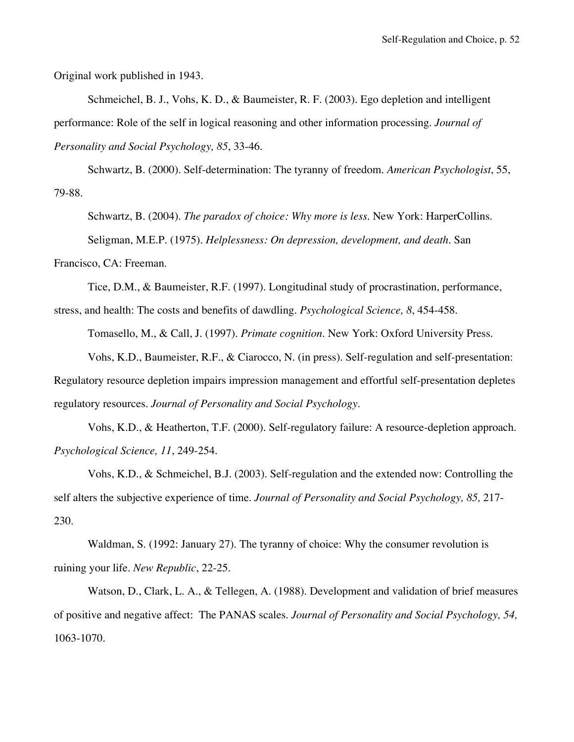Original work published in 1943.

Schmeichel, B. J., Vohs, K. D., & Baumeister, R. F. (2003). Ego depletion and intelligent performance: Role of the self in logical reasoning and other information processing. *Journal of Personality and Social Psychology, 85*, 33-46.

Schwartz, B. (2000). Self-determination: The tyranny of freedom. *American Psychologist*, 55, 79-88.

Schwartz, B. (2004). *The paradox of choice: Why more is less*. New York: HarperCollins. Seligman, M.E.P. (1975). *Helplessness: On depression, development, and death.* San

Francisco, CA: Freeman.

Tice, D.M., & Baumeister, R.F. (1997). Longitudinal study of procrastination, performance,

stress, and health: The costs and benefits of dawdling. *Psychological Science, 8*, 454-458.

Tomasello, M., & Call, J. (1997). *Primate cognition.* New York: Oxford University Press.

Vohs, K.D., Baumeister, R.F., & Ciarocco, N. (in press). Self-regulation and self-presentation:

Regulatory resource depletion impairs impression management and effortful self-presentation depletes regulatory resources. *Journal of Personality and Social Psychology*.

Vohs, K.D., & Heatherton, T.F. (2000). Self-regulatory failure: A resource-depletion approach. *Psychological Science, 11*, 249-254.

Vohs, K.D., & Schmeichel, B.J. (2003). Self-regulation and the extended now: Controlling the self alters the subjective experience of time. *Journal of Personality and Social Psychology, 85,* 217- 230.

Waldman, S. (1992: January 27). The tyranny of choice: Why the consumer revolution is ruining your life. *New Republic*, 22-25.

Watson, D., Clark, L. A., & Tellegen, A. (1988). Development and validation of brief measures of positive and negative affect: The PANAS scales. *Journal of Personality and Social Psychology, 54,* 1063-1070.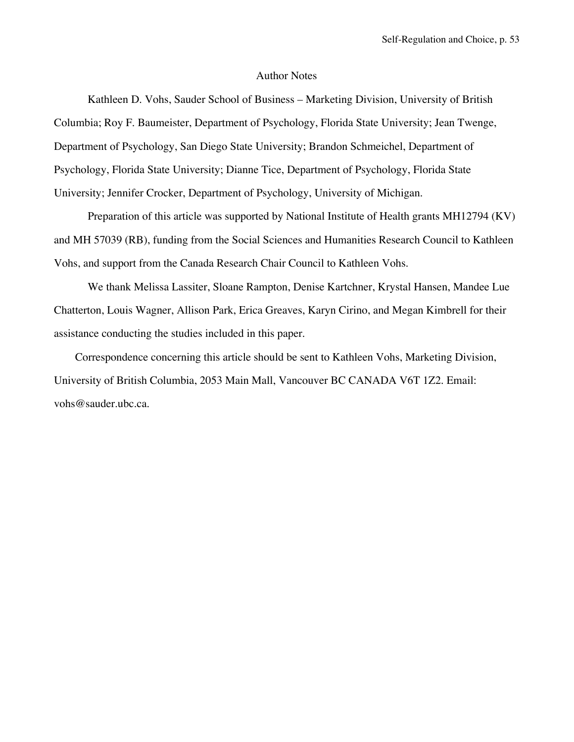### Author Notes

Kathleen D. Vohs, Sauder School of Business – Marketing Division, University of British Columbia; Roy F. Baumeister, Department of Psychology, Florida State University; Jean Twenge, Department of Psychology, San Diego State University; Brandon Schmeichel, Department of Psychology, Florida State University; Dianne Tice, Department of Psychology, Florida State University; Jennifer Crocker, Department of Psychology, University of Michigan.

Preparation of this article was supported by National Institute of Health grants MH12794 (KV) and MH 57039 (RB), funding from the Social Sciences and Humanities Research Council to Kathleen Vohs, and support from the Canada Research Chair Council to Kathleen Vohs.

We thank Melissa Lassiter, Sloane Rampton, Denise Kartchner, Krystal Hansen, Mandee Lue Chatterton, Louis Wagner, Allison Park, Erica Greaves, Karyn Cirino, and Megan Kimbrell for their assistance conducting the studies included in this paper.

Correspondence concerning this article should be sent to Kathleen Vohs, Marketing Division, University of British Columbia, 2053 Main Mall, Vancouver BC CANADA V6T 1Z2. Email: vohs@sauder.ubc.ca.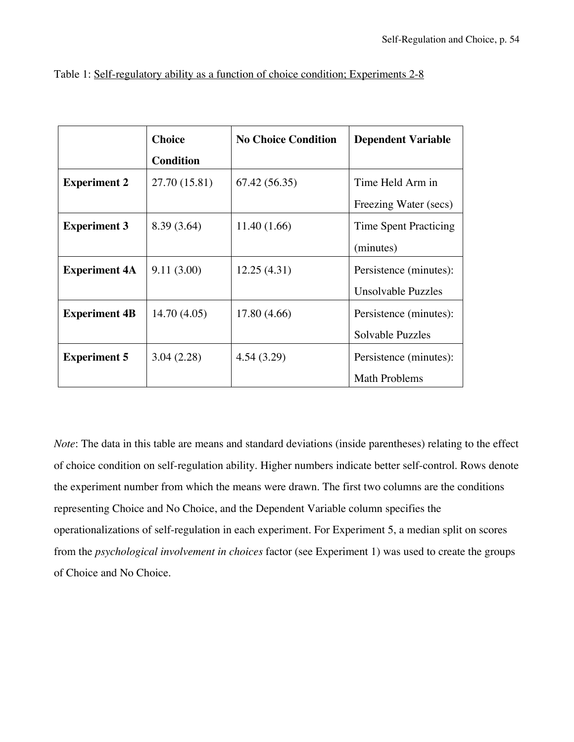|                      | <b>Choice</b>    | <b>No Choice Condition</b> | <b>Dependent Variable</b> |  |
|----------------------|------------------|----------------------------|---------------------------|--|
|                      | <b>Condition</b> |                            |                           |  |
| <b>Experiment 2</b>  | 27.70 (15.81)    | 67.42 (56.35)              | Time Held Arm in          |  |
|                      |                  |                            | Freezing Water (secs)     |  |
| <b>Experiment 3</b>  | 8.39 (3.64)      | 11.40(1.66)                | Time Spent Practicing     |  |
|                      |                  |                            | (minutes)                 |  |
| <b>Experiment 4A</b> | 9.11(3.00)       | 12.25(4.31)                | Persistence (minutes):    |  |
|                      |                  |                            | Unsolvable Puzzles        |  |
| <b>Experiment 4B</b> | 14.70(4.05)      | 17.80 (4.66)               | Persistence (minutes):    |  |
|                      |                  |                            | Solvable Puzzles          |  |
| <b>Experiment 5</b>  | 3.04(2.28)       | 4.54(3.29)                 | Persistence (minutes):    |  |
|                      |                  |                            | <b>Math Problems</b>      |  |

|  | Table 1: Self-regulatory ability as a function of choice condition; Experiments 2-8 |  |  |
|--|-------------------------------------------------------------------------------------|--|--|
|  |                                                                                     |  |  |

*Note*: The data in this table are means and standard deviations (inside parentheses) relating to the effect of choice condition on self-regulation ability. Higher numbers indicate better self-control. Rows denote the experiment number from which the means were drawn. The first two columns are the conditions representing Choice and No Choice, and the Dependent Variable column specifies the operationalizations of self-regulation in each experiment. For Experiment 5, a median split on scores from the *psychological involvement in choices* factor (see Experiment 1) was used to create the groups of Choice and No Choice.